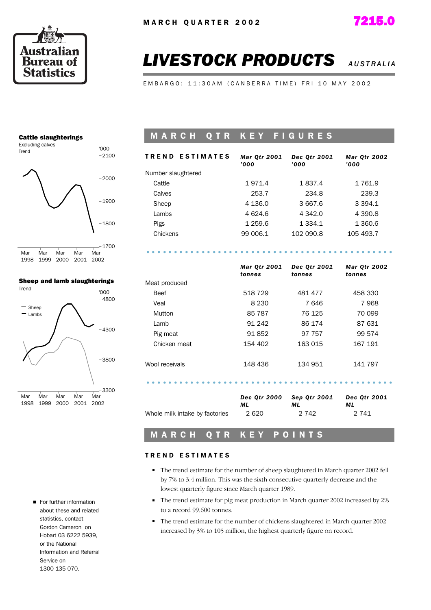

*Mar Qtr 2002*



# **LIVESTOCK PRODUCTS** *AUSTRALIA***</del>**

EMBARGO: 11:30AM (CANBERRA TIME) FRI 10 MAY 2002

#### Cattle slaughterings



#### Sheep and lamb slaughterings



For further information about these and related statistics, contact Gordon Cameron on Hobart 03 6222 5939, or the National Information and Referral Service on 1300 135 070.

#### **MARCH QTR KEY FIGURES**

| <b>TREND ESTIMATES</b> | <b>Mar Qtr 2001</b><br>'000' | Dec 0tr 2001<br>'000' | <b>Mar Qtr 2002</b><br>'000' |
|------------------------|------------------------------|-----------------------|------------------------------|
| Number slaughtered     |                              |                       |                              |
| Cattle                 | 1971.4                       | 1837.4                | 1 761.9                      |
| Calves                 | 253.7                        | 234.8                 | 239.3                        |
| Sheep                  | 4 1 3 6 . 0                  | 3 667.6               | 3 3 9 4 . 1                  |
| Lambs                  | 4 624.6                      | 4 342.0               | 4 390.8                      |
| Pigs                   | 1 259.6                      | 1 3 3 4 . 1           | 1 360.6                      |
| Chickens               | 99 006.1                     | 102 090.8             | 105 493.7                    |
|                        |                              |                       |                              |

# .............................................

|                | <b>Mar Qtr 2001</b><br>tonnes | Dec Qtr 2001<br>tonnes | <b>Mar Qtr 2002</b><br>tonnes |  |
|----------------|-------------------------------|------------------------|-------------------------------|--|
| Meat produced  |                               |                        |                               |  |
| <b>Beef</b>    | 518 729                       | 481 477                | 458 330                       |  |
| Veal           | 8 2 3 0                       | 7646                   | 7968                          |  |
| Mutton         | 85 787                        | 76 125                 | 70 099                        |  |
| Lamb           | 91 242                        | 86 174                 | 87 631                        |  |
| Pig meat       | 91852                         | 97 757                 | 99 574                        |  |
| Chicken meat   | 154 402                       | 163 015                | 167 191                       |  |
| Wool receivals | 148 436                       | 134 951                | 141 797                       |  |
|                |                               |                        |                               |  |

|                                | <b>Dec Otr 2000</b> | Sep Otr 2001 | <b>Dec Otr 2001</b> |
|--------------------------------|---------------------|--------------|---------------------|
|                                | мL                  | мL           | мL                  |
| Whole milk intake by factories | 2620                | 2 742        | 2 741               |

#### M A R C H Q T R K E Y P O I N T S

#### TREND ESTIMATES

- The trend estimate for the number of sheep slaughtered in March quarter 2002 fell by 7% to 3.4 million. This was the sixth consecutive quarterly decrease and the lowest quarterly figure since March quarter 1989.
- The trend estimate for pig meat production in March quarter 2002 increased by 2% to a record 99,600 tonnes.
- The trend estimate for the number of chickens slaughtered in March quarter 2002 increased by 3% to 105 million, the highest quarterly figure on record.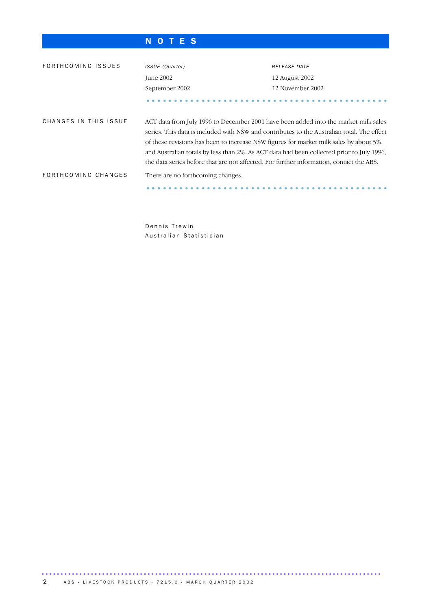#### N O T E S

| FORTHCOMING ISSUES    | ISSUE (Quarter)                                                                                                                                                                                                                                                                                                                                                                                                                                                     | <b>RELEASE DATE</b> |  |
|-----------------------|---------------------------------------------------------------------------------------------------------------------------------------------------------------------------------------------------------------------------------------------------------------------------------------------------------------------------------------------------------------------------------------------------------------------------------------------------------------------|---------------------|--|
|                       | June 2002                                                                                                                                                                                                                                                                                                                                                                                                                                                           | 12 August 2002      |  |
|                       | September 2002                                                                                                                                                                                                                                                                                                                                                                                                                                                      | 12 November 2002    |  |
|                       |                                                                                                                                                                                                                                                                                                                                                                                                                                                                     |                     |  |
| CHANGES IN THIS ISSUE | ACT data from July 1996 to December 2001 have been added into the market milk sales<br>series. This data is included with NSW and contributes to the Australian total. The effect<br>of these revisions has been to increase NSW figures for market milk sales by about 5%,<br>and Australian totals by less than 2%. As ACT data had been collected prior to July 1996,<br>the data series before that are not affected. For further information, contact the ABS. |                     |  |
| FORTHCOMING CHANGES   | There are no forthcoming changes.                                                                                                                                                                                                                                                                                                                                                                                                                                   |                     |  |
|                       |                                                                                                                                                                                                                                                                                                                                                                                                                                                                     |                     |  |

Dennis Trewin Australian Statistician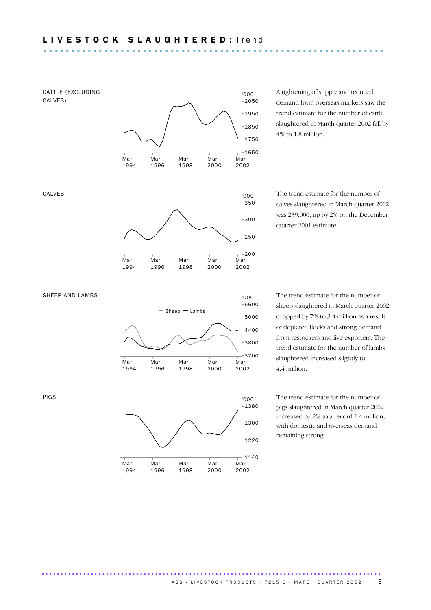

Mar 1994 Mar 1996 Mar 1998 Mar 2000

..........................................................................................

Mar 2002 A tightening of supply and reduced demand from overseas markets saw the trend estimate for the number of cattle slaughtered in March quarter 2002 fall by 4% to 1.8 million.

The trend estimate for the number of calves slaughtered in March quarter 2002 was 239,000, up by 2% on the December quarter 2001 estimate.

The trend estimate for the number of sheep slaughtered in March quarter 2002 dropped by 7% to 3.4 million as a result of depleted flocks and strong demand from restockers and live exporters. The trend estimate for the number of lambs slaughtered increased slightly to 4.4 million.

The trend estimate for the number of pigs slaughtered in March quarter 2002 increased by 2% to a record 1.4 million, with domestic and overseas demand remaining strong.

PIGS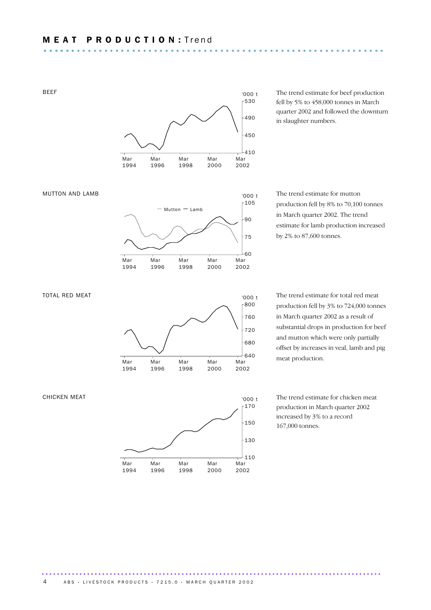BEEF



The trend estimate for beef production fell by 5% to 458,000 tonnes in March quarter 2002 and followed the downturn in slaughter numbers.

The trend estimate for mutton production fell by 8% to 70,100 tonnes in March quarter 2002. The trend estimate for lamb production increased by 2% to 87,600 tonnes.

The trend estimate for total red meat production fell by 3% to 724,000 tonnes in March quarter 2002 as a result of substantial drops in production for beef and mutton which were only partially offset by increases in veal, lamb and pig meat production.

The trend estimate for chicken meat production in March quarter 2002 increased by 3% to a record 167,000 tonnes.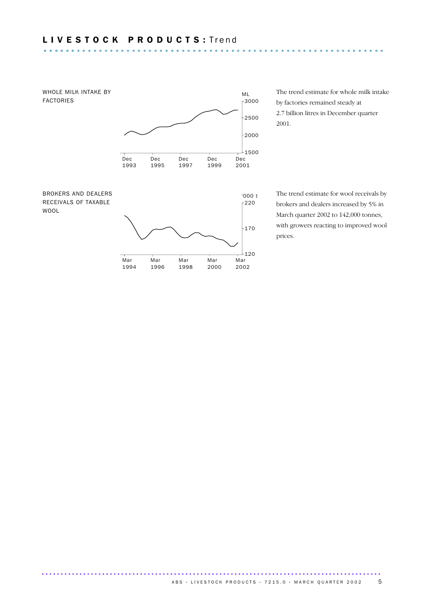# L I V E S T O C K P R O D U C T S : T r e n d .............................................................. ......

WOOL



The trend estimate for whole milk intake by factories remained steady at 2.7 billion litres in December quarter 2001.

The trend estimate for wool receivals by brokers and dealers increased by 5% in March quarter 2002 to 142,000 tonnes, with growers reacting to improved wool prices.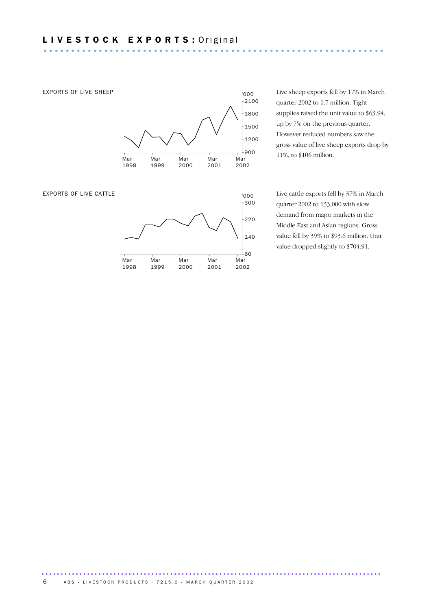

Live sheep exports fell by 17% in March quarter 2002 to 1.7 million. Tight supplies raised the unit value to \$63.94, up by 7% on the previous quarter. However reduced numbers saw the gross value of live sheep exports drop by 11%, to \$106 million.

Live cattle exports fell by 37% in March quarter 2002 to 133,000 with slow demand from major markets in the Middle East and Asian regions. Gross value fell by 39% to \$93.6 million. Unit value dropped slightly to \$704.91.

.......................................................................................... 6 ABS · LIVESTOCK PRODUCTS · 7215.0 · MARCH QUARTER 2002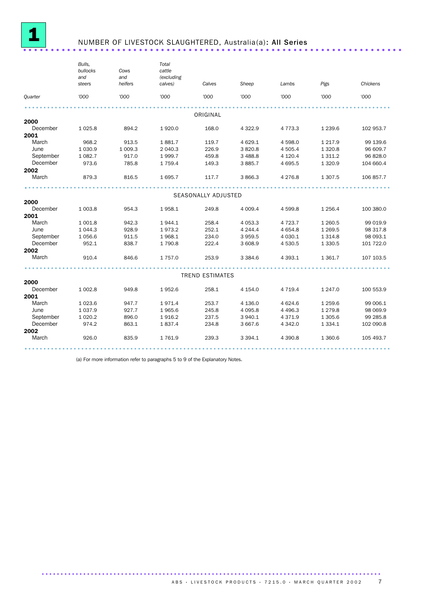

### NUMBER OF LIVESTOCK SLAUGHTERED, Australia(a): All Series ......................

|           | Bulls,<br>bullocks<br>Cows |                | Total<br>cattle       |                        |             |             |             |           |
|-----------|----------------------------|----------------|-----------------------|------------------------|-------------|-------------|-------------|-----------|
|           | and<br>steers              | and<br>heifers | (excluding<br>calves) | Calves                 | Sheep       | Lambs       | Pigs        | Chickens  |
| Quarter   | '000                       | '000           | '000                  | '000                   | '000        | '000        | '000        | '000      |
|           |                            |                |                       |                        |             |             |             |           |
|           |                            |                |                       | ORIGINAL               |             |             |             |           |
| 2000      |                            |                |                       |                        |             |             |             |           |
| December  | 1 0 2 5.8                  | 894.2          | 1920.0                | 168.0                  | 4 3 2 2.9   | 4 7 7 3 . 3 | 1 2 3 9.6   | 102 953.7 |
| 2001      |                            |                |                       |                        |             |             |             |           |
| March     | 968.2                      | 913.5          | 1881.7                | 119.7                  | 4 6 29.1    | 4 5 9 8.0   | 1 2 1 7 . 9 | 99 139.6  |
| June      | 1 0 3 0.9                  | 1 009.3        | 2 040.3               | 226.9                  | 3820.8      | 4 505.4     | 1 3 2 0.8   | 96 609.7  |
| September | 1 0 8 2.7                  | 917.0          | 1999.7                | 459.8                  | 3 4 8 8.8   | 4 1 2 0.4   | 1 3 1 1.2   | 96 828.0  |
| December  | 973.6                      | 785.8          | 1759.4                | 149.3                  | 3 8 8 5.7   | 4 6 9 5.5   | 1 3 2 0.9   | 104 660.4 |
| 2002      |                            |                |                       |                        |             |             |             |           |
| March     | 879.3                      | 816.5          | 1695.7                | 117.7                  | 3 866.3     | 4 2 7 6.8   | 1 307.5     | 106 857.7 |
|           |                            |                |                       |                        |             |             |             |           |
|           |                            |                |                       | SEASONALLY ADJUSTED    |             |             |             |           |
| 2000      |                            |                |                       |                        |             |             |             |           |
| December  | 1 003.8                    | 954.3          | 1958.1                | 249.8                  | 4 0 0 9.4   | 4 599.8     | 1 2 5 6.4   | 100 380.0 |
| 2001      |                            |                |                       |                        |             |             |             |           |
| March     | 1 001.8                    | 942.3          | 1944.1                | 258.4                  | 4 0 5 3.3   | 4 7 2 3 . 7 | 1 2 6 0.5   | 99 019.9  |
| June      | 1 0 4 4 .3                 | 928.9          | 1973.2                | 252.1                  | 4 2 4 4     | 4 6 5 4.8   | 1 2 6 9.5   | 98 317.8  |
| September | 1 0 5 6.6                  | 911.5          | 1968.1                | 234.0                  | 3 9 5 9.5   | 4 0 3 0.1   | 1 3 1 4.8   | 98 093.1  |
| December  | 952.1                      | 838.7          | 1790.8                | 222.4                  | 3 608.9     | 4 530.5     | 1 3 3 0.5   | 101 722.0 |
| 2002      |                            |                |                       |                        |             |             |             |           |
| March     | 910.4                      | 846.6          | 1 7 5 7 .0            | 253.9                  | 3 3 8 4 . 6 | 4 3 9 3.1   | 1 3 6 1.7   | 107 103.5 |
|           |                            |                |                       |                        |             |             |             |           |
|           |                            |                |                       | <b>TREND ESTIMATES</b> |             |             |             |           |
| 2000      |                            |                |                       |                        |             |             |             |           |
| December  | 1 002.8                    | 949.8          | 1952.6                | 258.1                  | 4 1 5 4 .0  | 4 7 1 9.4   | 1 247.0     | 100 553.9 |
| 2001      |                            |                |                       |                        |             |             |             |           |
| March     | 1 0 23.6                   | 947.7          | 1971.4                | 253.7                  | 4 1 36.0    | 4 6 24.6    | 1 2 5 9.6   | 99 006.1  |
| June      | 1 0 3 7 .9                 | 927.7          | 1965.6                | 245.8                  | 4 0 9 5.8   | 4 4 9 6.3   | 1 2 7 9.8   | 98 069.9  |
| September | 1 0 20.2                   | 896.0          | 1916.2                | 237.5                  | 3 940.1     | 4 3 7 1.9   | 1 3 0 5.6   | 99 285.8  |
| December  | 974.2                      | 863.1          | 1837.4                | 234.8                  | 3 667.6     | 4 3 4 2.0   | 1 3 3 4 . 1 | 102 090.8 |
| 2002      |                            |                |                       |                        |             |             |             |           |
| March     | 926.0                      | 835.9          | 1761.9                | 239.3                  | 3 3 9 4.1   | 4 3 9 0.8   | 1 3 6 0.6   | 105 493.7 |
|           |                            |                |                       |                        |             |             |             |           |

(a) For more information refer to paragraphs 5 to 9 of the Explanatory Notes.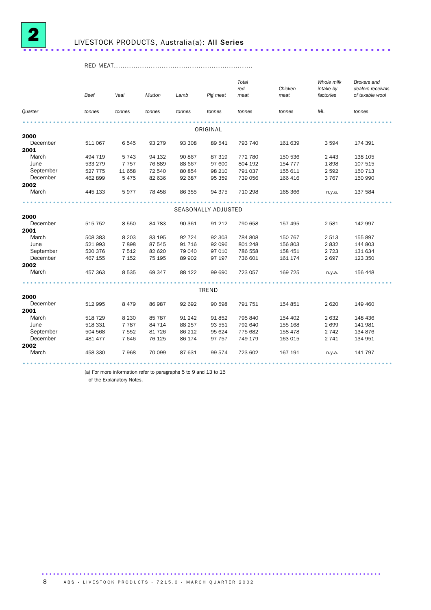

### LIVESTOCK PRODUCTS, Australia(a): All Series ...................................

RED MEAT................................................................

|                  | Beef    | Veal    | <b>Mutton</b> | Lamb   | Pig meat            | Total<br>red<br>meat | Chicken<br>meat | Whole milk<br>intake by<br>factories | <b>Brokers</b> and<br>dealers receivals<br>of taxable wool |  |
|------------------|---------|---------|---------------|--------|---------------------|----------------------|-----------------|--------------------------------------|------------------------------------------------------------|--|
| Quarter          | tonnes  | tonnes  | tonnes        | tonnes | tonnes              | tonnes               | tonnes          | ML                                   | tonnes                                                     |  |
|                  |         |         |               |        |                     |                      |                 |                                      |                                                            |  |
|                  |         |         |               |        | ORIGINAL            |                      |                 |                                      |                                                            |  |
| 2000<br>December | 511 067 | 6545    | 93 279        | 93 308 | 89 541              | 793 740              | 161 639         | 3 5 9 4                              | 174 391                                                    |  |
| 2001             |         |         |               |        |                     |                      |                 |                                      |                                                            |  |
| March            | 494 719 | 5743    | 94 132        | 90 867 | 87 319              | 772 780              | 150 536         | 2 4 4 3                              | 138 105                                                    |  |
| June             | 533 279 | 7757    | 76 889        | 88 667 | 97 600              | 804 192              | 154 777         | 1898                                 | 107 515                                                    |  |
| September        | 527 775 | 11 658  | 72 540        | 80 854 | 98 210              | 791 037              | 155 611         | 2 5 9 2                              | 150 713                                                    |  |
| December         | 462899  | 5475    | 82 636        | 92 687 | 95 359              | 739 056              | 166 416         | 3 7 6 7                              | 150 990                                                    |  |
| 2002             |         |         |               |        |                     |                      |                 |                                      |                                                            |  |
| March            | 445 133 | 5977    | 78 458        | 86 355 | 94 375              | 710 298              | 168 366         | n.y.a.                               | 137 584                                                    |  |
|                  |         |         |               |        |                     |                      |                 |                                      |                                                            |  |
|                  |         |         |               |        | SEASONALLY ADJUSTED |                      |                 |                                      |                                                            |  |
| 2000             |         |         |               |        |                     |                      |                 |                                      |                                                            |  |
| December         | 515 752 | 8 5 5 0 | 84 783        | 90 361 | 91 212              | 790 658              | 157 495         | 2 5 8 1                              | 142 997                                                    |  |
| 2001             |         |         |               |        |                     |                      |                 |                                      |                                                            |  |
| March            | 508 383 | 8 2 0 3 | 83 195        | 92 724 | 92 303              | 784 808              | 150 767         | 2 5 1 3                              | 155 897                                                    |  |
| June             | 521 993 | 7898    | 87 545        | 91 716 | 92 096              | 801 248              | 156 803         | 2832                                 | 144 803                                                    |  |
| September        | 520 376 | 7512    | 82 620        | 79 040 | 97 010              | 786 558              | 158 451         | 2 7 2 3                              | 131 634                                                    |  |
| December         | 467 155 | 7 1 5 2 | 75 195        | 89 902 | 97 197              | 736 601              | 161 174         | 2697                                 | 123 350                                                    |  |
| 2002             |         |         |               |        |                     |                      |                 |                                      |                                                            |  |
| March            | 457 363 | 8 5 3 5 | 69 347        | 88 122 | 99 690              | 723 057              | 169 725         | n.y.a.                               | 156 448                                                    |  |
|                  |         |         |               |        | <b>TREND</b>        |                      |                 |                                      |                                                            |  |
| 2000             |         |         |               |        |                     |                      |                 |                                      |                                                            |  |
| December         | 512 995 | 8 4 7 9 | 86 987        | 92 692 | 90 598              | 791 751              | 154 851         | 2 6 2 0                              | 149 460                                                    |  |
| 2001             |         |         |               |        |                     |                      |                 |                                      |                                                            |  |
| March            | 518 729 | 8 2 3 0 | 85 787        | 91 242 | 91 852              | 795 840              | 154 402         | 2 6 3 2                              | 148 436                                                    |  |
| June             | 518 331 | 7 7 8 7 | 84 714        | 88 257 | 93 551              | 792 640              | 155 168         | 2 6 9 9                              | 141 981                                                    |  |
| September        | 504 568 | 7 5 5 2 | 81 726        | 86 212 | 95 624              | 775 682              | 158 478         | 2 7 4 2                              | 134 876                                                    |  |
| December         | 481 477 | 7646    | 76 125        | 86 174 | 97 757              | 749 179              | 163 015         | 2 7 4 1                              | 134 951                                                    |  |
| 2002             |         |         |               |        |                     |                      |                 |                                      |                                                            |  |
| March            | 458 330 | 7968    | 70 099        | 87 631 | 99 574              | 723 602              | 167 191         | n.y.a.                               | 141 797                                                    |  |
|                  |         |         |               |        |                     |                      |                 |                                      |                                                            |  |

(a) For more information refer to paragraphs 5 to 9 and 13 to 15

of the Explanatory Notes.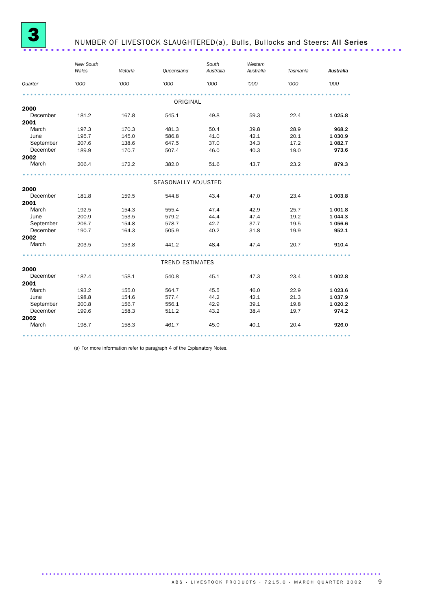

### NUMBER OF LIVESTOCK SLAUGHTERED(a), Bulls, Bullocks and Steers: All Series ...................................

|                | New South<br>Wales | Victoria | <b>Queensland</b>      | South<br>Australia | Western<br>Australia | Tasmania | Australia   |
|----------------|--------------------|----------|------------------------|--------------------|----------------------|----------|-------------|
| <b>Quarter</b> | '000               | '000     | '000                   | '000               | '000                 | '000     | '000        |
|                |                    |          | ORIGINAL               |                    |                      |          |             |
| 2000           |                    |          |                        |                    |                      |          |             |
| December       | 181.2              | 167.8    | 545.1                  | 49.8               | 59.3                 | 22.4     | 1 0 2 5 . 8 |
| 2001           |                    |          |                        |                    |                      |          |             |
| March          | 197.3              | 170.3    | 481.3                  | 50.4               | 39.8                 | 28.9     | 968.2       |
| June           | 195.7              | 145.0    | 586.8                  | 41.0               | 42.1                 | 20.1     | 1 0 3 0.9   |
| September      | 207.6              | 138.6    | 647.5                  | 37.0               | 34.3                 | 17.2     | 1 082.7     |
| December       | 189.9              | 170.7    | 507.4                  | 46.0               | 40.3                 | 19.0     | 973.6       |
| 2002           |                    |          |                        |                    |                      |          |             |
| March          | 206.4              | 172.2    | 382.0                  | 51.6               | 43.7                 | 23.2     | 879.3       |
|                |                    |          |                        |                    |                      |          |             |
|                |                    |          | SEASONALLY ADJUSTED    |                    |                      |          |             |
| 2000           |                    |          |                        |                    |                      |          |             |
| December       | 181.8              | 159.5    | 544.8                  | 43.4               | 47.0                 | 23.4     | 1 003.8     |
| 2001           |                    |          |                        |                    |                      |          |             |
| March          | 192.5              | 154.3    | 555.4                  | 47.4               | 42.9                 | 25.7     | 1 001.8     |
| June           | 200.9              | 153.5    | 579.2                  | 44.4               | 47.4                 | 19.2     | 1 0 4 4.3   |
| September      | 206.7              | 154.8    | 578.7                  | 42.7               | 37.7                 | 19.5     | 1 0 5 6.6   |
| December       | 190.7              | 164.3    | 505.9                  | 40.2               | 31.8                 | 19.9     | 952.1       |
| 2002           |                    |          |                        |                    |                      |          |             |
| March          | 203.5              | 153.8    | 441.2                  | 48.4               | 47.4                 | 20.7     | 910.4       |
|                |                    |          | <b>TREND ESTIMATES</b> |                    |                      |          |             |
| 2000           |                    |          |                        |                    |                      |          |             |
| December       | 187.4              | 158.1    | 540.8                  | 45.1               | 47.3                 | 23.4     | 1 002.8     |
| 2001           |                    |          |                        |                    |                      |          |             |
| March          | 193.2              | 155.0    | 564.7                  | 45.5               | 46.0                 | 22.9     | 1 0 23.6    |
| June           | 198.8              | 154.6    | 577.4                  | 44.2               | 42.1                 | 21.3     | 1 0 3 7 . 9 |
| September      | 200.8              | 156.7    | 556.1                  | 42.9               | 39.1                 | 19.8     | 1 0 20.2    |
| December       | 199.6              | 158.3    | 511.2                  | 43.2               | 38.4                 | 19.7     | 974.2       |
| 2002           |                    |          |                        |                    |                      |          |             |
| March          | 198.7              | 158.3    | 461.7                  | 45.0               | 40.1                 | 20.4     | 926.0       |
|                |                    |          |                        |                    |                      |          |             |

(a) For more information refer to paragraph 4 of the Explanatory Notes.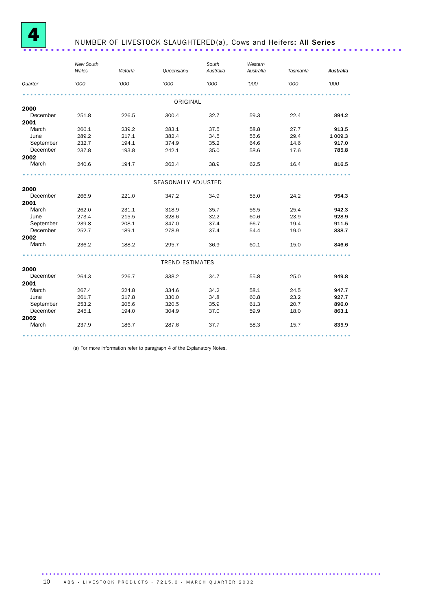

### NUMBER OF LIVESTOCK SLAUGHTERED(a), Cows and Heifers: All Series ...............

|           | New South<br>Wales | Victoria | Queensland             | South<br>Australia | Western<br>Australia | Tasmania | Australia |  |  |  |  |
|-----------|--------------------|----------|------------------------|--------------------|----------------------|----------|-----------|--|--|--|--|
| Quarter   | '000               | '000     | '000                   | '000               | '000                 | '000     | '000      |  |  |  |  |
|           | ORIGINAL           |          |                        |                    |                      |          |           |  |  |  |  |
| 2000      |                    |          |                        |                    |                      |          |           |  |  |  |  |
| December  | 251.8              | 226.5    | 300.4                  | 32.7               | 59.3                 | 22.4     | 894.2     |  |  |  |  |
| 2001      |                    |          |                        |                    |                      |          |           |  |  |  |  |
| March     | 266.1              | 239.2    | 283.1                  | 37.5               | 58.8                 | 27.7     | 913.5     |  |  |  |  |
| June      | 289.2              | 217.1    | 382.4                  | 34.5               | 55.6                 | 29.4     | 1 009.3   |  |  |  |  |
| September | 232.7              | 194.1    | 374.9                  | 35.2               | 64.6                 | 14.6     | 917.0     |  |  |  |  |
| December  | 237.8              | 193.8    | 242.1                  | 35.0               | 58.6                 | 17.6     | 785.8     |  |  |  |  |
| 2002      |                    |          |                        |                    |                      |          |           |  |  |  |  |
| March     | 240.6              | 194.7    | 262.4                  | 38.9               | 62.5                 | 16.4     | 816.5     |  |  |  |  |
|           |                    |          |                        |                    |                      |          |           |  |  |  |  |
|           |                    |          | SEASONALLY ADJUSTED    |                    |                      |          |           |  |  |  |  |
| 2000      |                    |          |                        |                    |                      |          |           |  |  |  |  |
| December  | 266.9              | 221.0    | 347.2                  | 34.9               | 55.0                 | 24.2     | 954.3     |  |  |  |  |
| 2001      |                    |          |                        |                    |                      |          |           |  |  |  |  |
| March     | 262.0              | 231.1    | 318.9                  | 35.7               | 56.5                 | 25.4     | 942.3     |  |  |  |  |
| June      | 273.4              | 215.5    | 328.6                  | 32.2               | 60.6                 | 23.9     | 928.9     |  |  |  |  |
| September | 239.8              | 208.1    | 347.0                  | 37.4               | 66.7                 | 19.4     | 911.5     |  |  |  |  |
| December  | 252.7              | 189.1    | 278.9                  | 37.4               | 54.4                 | 19.0     | 838.7     |  |  |  |  |
| 2002      |                    |          |                        |                    |                      |          |           |  |  |  |  |
| March     | 236.2              | 188.2    | 295.7                  | 36.9               | 60.1                 | 15.0     | 846.6     |  |  |  |  |
|           |                    |          | <b>TREND ESTIMATES</b> |                    |                      |          |           |  |  |  |  |
| 2000      |                    |          |                        |                    |                      |          |           |  |  |  |  |
| December  | 264.3              | 226.7    | 338.2                  | 34.7               | 55.8                 | 25.0     | 949.8     |  |  |  |  |
| 2001      |                    |          |                        |                    |                      |          |           |  |  |  |  |
| March     | 267.4              | 224.8    | 334.6                  | 34.2               | 58.1                 | 24.5     | 947.7     |  |  |  |  |
| June      | 261.7              | 217.8    | 330.0                  | 34.8               | 60.8                 | 23.2     | 927.7     |  |  |  |  |
| September | 253.2              | 205.6    | 320.5                  | 35.9               | 61.3                 | 20.7     | 896.0     |  |  |  |  |
| December  | 245.1              | 194.0    | 304.9                  | 37.0               | 59.9                 | 18.0     | 863.1     |  |  |  |  |
| 2002      |                    |          |                        |                    |                      |          |           |  |  |  |  |
| March     | 237.9              | 186.7    | 287.6                  | 37.7               | 58.3                 | 15.7     | 835.9     |  |  |  |  |
|           |                    |          |                        |                    |                      |          |           |  |  |  |  |

(a) For more information refer to paragraph 4 of the Explanatory Notes.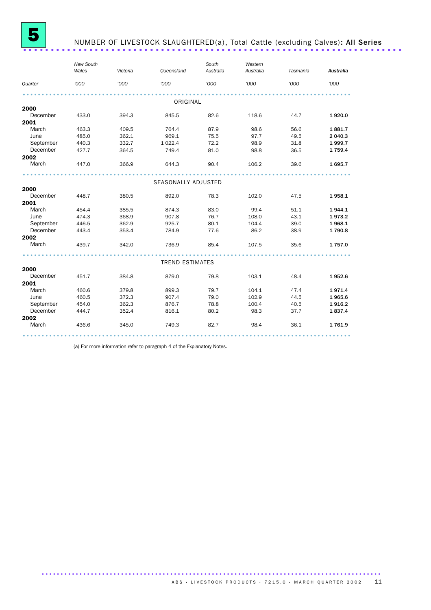

## NUMBER OF LIVESTOCK SLAUGHTERED(a), Total Cattle (excluding Calves): All Series ..............................

|           | New South<br>Wales | Victoria | Queensland             | South<br>Australia | Western<br>Australia | Tasmania | Australia |
|-----------|--------------------|----------|------------------------|--------------------|----------------------|----------|-----------|
| Quarter   | '000               | '000     | '000                   | '000               | '000                 | '000     | '000      |
|           |                    |          |                        |                    |                      |          |           |
|           |                    |          | ORIGINAL               |                    |                      |          |           |
| 2000      |                    |          |                        |                    |                      |          |           |
| December  | 433.0              | 394.3    | 845.5                  | 82.6               | 118.6                | 44.7     | 1920.0    |
| 2001      |                    |          |                        |                    |                      |          |           |
| March     | 463.3              | 409.5    | 764.4                  | 87.9               | 98.6                 | 56.6     | 1881.7    |
| June      | 485.0              | 362.1    | 969.1                  | 75.5               | 97.7                 | 49.5     | 2 040.3   |
| September | 440.3              | 332.7    | 1 0 2 2.4              | 72.2               | 98.9                 | 31.8     | 1999.7    |
| December  | 427.7              | 364.5    | 749.4                  | 81.0               | 98.8                 | 36.5     | 1 7 5 9.4 |
| 2002      |                    |          |                        |                    |                      |          |           |
| March     | 447.0              | 366.9    | 644.3                  | 90.4               | 106.2                | 39.6     | 1695.7    |
|           |                    |          |                        |                    |                      |          |           |
|           |                    |          | SEASONALLY ADJUSTED    |                    |                      |          |           |
| 2000      |                    |          |                        |                    |                      |          |           |
| December  | 448.7              | 380.5    | 892.0                  | 78.3               | 102.0                | 47.5     | 1958.1    |
| 2001      |                    |          |                        |                    |                      |          |           |
| March     | 454.4              | 385.5    | 874.3                  | 83.0               | 99.4                 | 51.1     | 1944.1    |
| June      | 474.3              | 368.9    | 907.8                  | 76.7               | 108.0                | 43.1     | 1973.2    |
| September | 446.5              | 362.9    | 925.7                  | 80.1               | 104.4                | 39.0     | 1968.1    |
| December  | 443.4              | 353.4    | 784.9                  | 77.6               | 86.2                 | 38.9     | 1790.8    |
| 2002      |                    |          |                        |                    |                      |          |           |
| March     | 439.7              | 342.0    | 736.9                  | 85.4               | 107.5                | 35.6     | 1757.0    |
|           |                    |          | <b>TREND ESTIMATES</b> |                    |                      |          |           |
| 2000      |                    |          |                        |                    |                      |          |           |
| December  | 451.7              | 384.8    | 879.0                  | 79.8               | 103.1                | 48.4     | 1952.6    |
| 2001      |                    |          |                        |                    |                      |          |           |
| March     | 460.6              | 379.8    | 899.3                  | 79.7               | 104.1                | 47.4     | 1971.4    |
| June      | 460.5              | 372.3    | 907.4                  | 79.0               | 102.9                | 44.5     | 1965.6    |
| September | 454.0              | 362.3    | 876.7                  | 78.8               | 100.4                | 40.5     | 1916.2    |
| December  | 444.7              | 352.4    | 816.1                  | 80.2               | 98.3                 | 37.7     | 1837.4    |
| 2002      |                    |          |                        |                    |                      |          |           |
| March     | 436.6              | 345.0    | 749.3                  | 82.7               | 98.4                 | 36.1     | 1761.9    |
|           |                    |          |                        |                    |                      |          |           |

(a) For more information refer to paragraph 4 of the Explanatory Notes.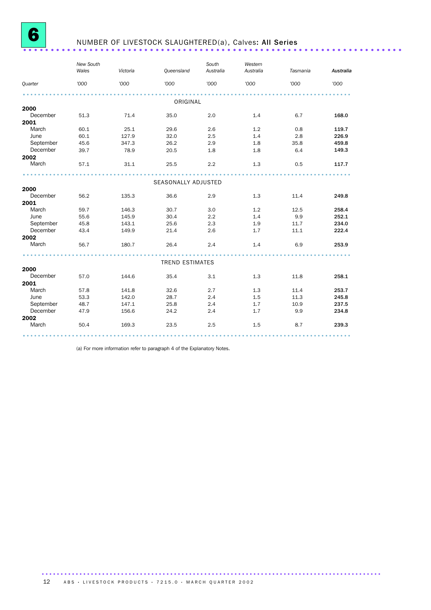

# **6** NUMBER OF LIVESTOCK SLAUGHTERED(a), Calves: All Series .....................

|                | New South<br>Wales | Victoria | Queensland             | South<br>Australia | Western<br>Australia | Tasmania | Australia |
|----------------|--------------------|----------|------------------------|--------------------|----------------------|----------|-----------|
| <b>Quarter</b> | '000               | '000     | '000                   | '000               | '000                 | '000     | '000      |
|                |                    |          | ORIGINAL               |                    |                      |          |           |
| 2000           |                    |          |                        |                    |                      |          |           |
| December       | 51.3               | 71.4     | 35.0                   | 2.0                | 1.4                  | 6.7      | 168.0     |
| 2001           |                    |          |                        |                    |                      |          |           |
| March          | 60.1               | 25.1     | 29.6                   | 2.6                | 1.2                  | 0.8      | 119.7     |
| June           | 60.1               | 127.9    | 32.0                   | 2.5                | 1.4                  | 2.8      | 226.9     |
| September      | 45.6               | 347.3    | 26.2                   | 2.9                | 1.8                  | 35.8     | 459.8     |
| December       | 39.7               | 78.9     | 20.5                   | 1.8                | 1.8                  | 6.4      | 149.3     |
| 2002           |                    |          |                        |                    |                      |          |           |
| March          | 57.1               | 31.1     | 25.5                   | 2.2                | 1.3                  | 0.5      | 117.7     |
|                |                    |          |                        |                    |                      |          |           |
|                |                    |          | SEASONALLY ADJUSTED    |                    |                      |          |           |
| 2000           |                    |          |                        |                    |                      |          |           |
| December       | 56.2               | 135.3    | 36.6                   | 2.9                | 1.3                  | 11.4     | 249.8     |
| 2001           |                    |          |                        |                    |                      |          |           |
| March          | 59.7               | 146.3    | 30.7                   | 3.0                | 1.2                  | 12.5     | 258.4     |
| June           | 55.6               | 145.9    | 30.4                   | 2.2                | 1.4                  | 9.9      | 252.1     |
| September      | 45.8               | 143.1    | 25.6                   | 2.3                | 1.9                  | 11.7     | 234.0     |
| December       | 43.4               | 149.9    | 21.4                   | 2.6                | 1.7                  | 11.1     | 222.4     |
| 2002           |                    |          |                        |                    |                      |          |           |
| March          | 56.7               | 180.7    | 26.4                   | 2.4                | 1.4                  | 6.9      | 253.9     |
|                |                    |          | <b>TREND ESTIMATES</b> |                    |                      |          |           |
| 2000           |                    |          |                        |                    |                      |          |           |
| December       | 57.0               | 144.6    | 35.4                   | 3.1                | 1.3                  | 11.8     | 258.1     |
| 2001           |                    |          |                        |                    |                      |          |           |
| March          | 57.8               | 141.8    | 32.6                   | 2.7                | 1.3                  | 11.4     | 253.7     |
| June           | 53.3               | 142.0    | 28.7                   | 2.4                | 1.5                  | 11.3     | 245.8     |
| September      | 48.7               | 147.1    | 25.8                   | 2.4                | 1.7                  | 10.9     | 237.5     |
| December       | 47.9               | 156.6    | 24.2                   | 2.4                | 1.7                  | 9.9      | 234.8     |
| 2002           |                    |          |                        |                    |                      |          |           |
| March          | 50.4               | 169.3    | 23.5                   | 2.5                | 1.5                  | 8.7      | 239.3     |
|                |                    |          |                        |                    |                      |          |           |

(a) For more information refer to paragraph 4 of the Explanatory Notes.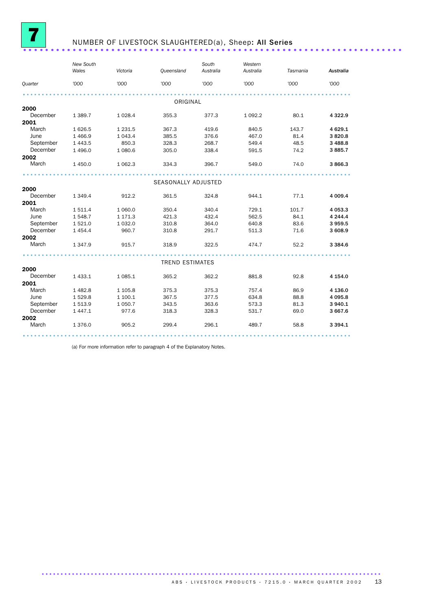

## NUMBER OF LIVESTOCK SLAUGHTERED(a), Sheep: All Series ..........................

|               | New South<br>Wales      | Victoria           | Queensland             | South<br>Australia | Western<br>Australia | Tasmania     | Australia           |
|---------------|-------------------------|--------------------|------------------------|--------------------|----------------------|--------------|---------------------|
| Quarter       | '000                    | '000               | '000                   | '000               | '000                 | '000         | '000                |
|               |                         |                    |                        |                    |                      |              |                     |
|               |                         |                    | ORIGINAL               |                    |                      |              |                     |
| 2000          |                         |                    |                        |                    |                      |              |                     |
| December      | 1 389.7                 | 1 0 28.4           | 355.3                  | 377.3              | 1 0 9 2.2            | 80.1         | 4 3 2 2.9           |
| 2001<br>March |                         |                    |                        |                    |                      |              |                     |
| June          | 1 6 2 6 .5              | 1 2 3 1.5          | 367.3<br>385.5         | 419.6              | 840.5                | 143.7        | 4 6 29.1            |
| September     | 1 4 6 6.9<br>1 4 4 3 .5 | 1 0 4 3.4<br>850.3 | 328.3                  | 376.6<br>268.7     | 467.0<br>549.4       | 81.4<br>48.5 | 3820.8<br>3 4 8 8.8 |
| December      | 1 4 9 6.0               | 1 0 8 0.6          | 305.0                  | 338.4              | 591.5                | 74.2         | 3885.7              |
| 2002          |                         |                    |                        |                    |                      |              |                     |
| March         | 1 450.0                 | 1 0 6 2.3          | 334.3                  | 396.7              | 549.0                | 74.0         | 3866.3              |
|               |                         |                    |                        |                    |                      |              |                     |
|               |                         |                    | SEASONALLY ADJUSTED    |                    |                      |              |                     |
| 2000          |                         |                    |                        |                    |                      |              |                     |
| December      | 1 3 4 9.4               | 912.2              | 361.5                  | 324.8              | 944.1                | 77.1         | 4 009.4             |
| 2001          |                         |                    |                        |                    |                      |              |                     |
| March         | 1 511.4                 | 1 0 6 0.0          | 350.4                  | 340.4              | 729.1                | 101.7        | 4 053.3             |
| June          | 1 548.7                 | 1 171.3            | 421.3                  | 432.4              | 562.5                | 84.1         | 4 244.4             |
| September     | 1 5 2 1.0               | 1 0 3 2.0          | 310.8                  | 364.0              | 640.8                | 83.6         | 3959.5              |
| December      | 1 4 5 4 .4              | 960.7              | 310.8                  | 291.7              | 511.3                | 71.6         | 3 608.9             |
| 2002          |                         |                    |                        |                    |                      |              |                     |
| March         | 1 347.9                 | 915.7              | 318.9                  | 322.5              | 474.7                | 52.2         | 3 3 8 4.6           |
|               |                         |                    | <b>TREND ESTIMATES</b> |                    |                      |              |                     |
| 2000          |                         |                    |                        |                    |                      |              |                     |
| December      | 1 4 3 3.1               | 1 0 8 5.1          | 365.2                  | 362.2              | 881.8                | 92.8         | 4 1 5 4 .0          |
| 2001          |                         |                    |                        |                    |                      |              |                     |
| March         | 1 4 8 2.8               | 1 1 0 5.8          | 375.3                  | 375.3              | 757.4                | 86.9         | 4 136.0             |
| June          | 1529.8                  | 1 100.1            | 367.5                  | 377.5              | 634.8                | 88.8         | 4 0 9 5.8           |
| September     | 1513.9                  | 1 0 5 0.7          | 343.5                  | 363.6              | 573.3                | 81.3         | 3 940.1             |
| December      | 1 447.1                 | 977.6              | 318.3                  | 328.3              | 531.7                | 69.0         | 3 667.6             |
| 2002          |                         |                    |                        |                    |                      |              |                     |
| March         | 1 376.0                 | 905.2              | 299.4                  | 296.1              | 489.7                | 58.8         | 3 3 9 4.1           |
|               |                         |                    |                        |                    |                      |              |                     |

(a) For more information refer to paragraph 4 of the Explanatory Notes.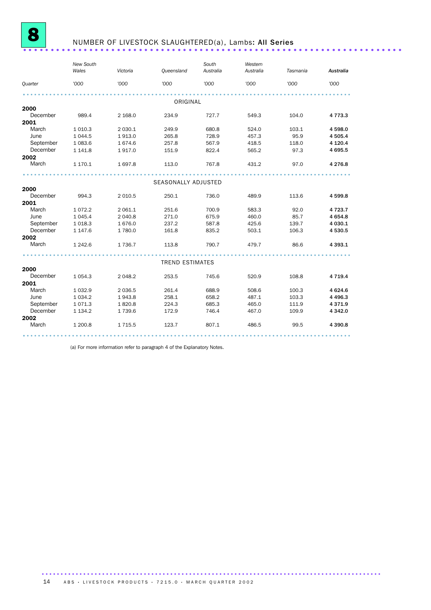

# **8 NUMBER OF LIVESTOCK SLAUGHTERED(a), Lambs: All Series** .......................

|           | <b>New South</b><br>Wales | Victoria   | Queensland             | South<br>Australia | Western<br>Australia | Tasmania | Australia   |  |  |
|-----------|---------------------------|------------|------------------------|--------------------|----------------------|----------|-------------|--|--|
| Quarter   | '000                      | '000       | '000                   | '000               | '000                 | '000     | '000        |  |  |
|           |                           |            |                        |                    |                      |          |             |  |  |
|           |                           |            |                        |                    |                      |          |             |  |  |
| 2000      |                           |            | ORIGINAL               |                    |                      |          |             |  |  |
| December  | 989.4                     | 2 1 68.0   | 234.9                  | 727.7              | 549.3                | 104.0    | 4 7 7 3 . 3 |  |  |
| 2001      |                           |            |                        |                    |                      |          |             |  |  |
| March     | 1 0 1 0.3                 | 2 0 3 0.1  | 249.9                  | 680.8              | 524.0                | 103.1    | 4598.0      |  |  |
| June      | 1044.5                    | 1913.0     | 265.8                  | 728.9              | 457.3                | 95.9     | 4 505.4     |  |  |
| September | 1 0 8 3.6                 | 1674.6     | 257.8                  | 567.9              | 418.5                | 118.0    | 4 1 2 0 . 4 |  |  |
| December  | 1 1 4 1.8                 | 1917.0     | 151.9                  | 822.4              | 565.2                | 97.3     | 4 695.5     |  |  |
| 2002      |                           |            |                        |                    |                      |          |             |  |  |
| March     | 1 170.1                   | 1697.8     | 113.0                  | 767.8              | 431.2                | 97.0     | 4 2 7 6.8   |  |  |
|           |                           |            |                        |                    |                      |          |             |  |  |
|           | SEASONALLY ADJUSTED       |            |                        |                    |                      |          |             |  |  |
| 2000      |                           |            |                        |                    |                      |          |             |  |  |
| December  | 994.3                     | 2 0 1 0.5  | 250.1                  | 736.0              | 489.9                | 113.6    | 4 599.8     |  |  |
| 2001      |                           |            |                        |                    |                      |          |             |  |  |
| March     | 1072.2                    | 2 061.1    | 251.6                  | 700.9              | 583.3                | 92.0     | 4 7 2 3 . 7 |  |  |
| June      | 1 0 4 5.4                 | 2 040.8    | 271.0                  | 675.9              | 460.0                | 85.7     | 4 6 5 4.8   |  |  |
| September | 1018.3                    | 1676.0     | 237.2                  | 587.8              | 425.6                | 139.7    | 4 0 3 0.1   |  |  |
| December  | 1 1 4 7 .6                | 1780.0     | 161.8                  | 835.2              | 503.1                | 106.3    | 4530.5      |  |  |
| 2002      |                           |            |                        |                    |                      |          |             |  |  |
| March     | 1 2 4 2.6                 | 1736.7     | 113.8                  | 790.7              | 479.7                | 86.6     | 4 3 9 3.1   |  |  |
|           |                           |            |                        |                    |                      |          |             |  |  |
| 2000      |                           |            | <b>TREND ESTIMATES</b> |                    |                      |          |             |  |  |
| December  | 1 0 5 4 . 3               | 2 0 4 8.2  | 253.5                  | 745.6              | 520.9                | 108.8    | 4 7 1 9.4   |  |  |
| 2001      |                           |            |                        |                    |                      |          |             |  |  |
| March     | 1 0 3 2.9                 | 2 0 3 6.5  | 261.4                  | 688.9              | 508.6                | 100.3    | 4 624.6     |  |  |
| June      | 1 0 3 4 . 2               | 1943.8     | 258.1                  | 658.2              | 487.1                | 103.3    | 4 4 9 6.3   |  |  |
| September | 1071.3                    | 1820.8     | 224.3                  | 685.3              | 465.0                | 111.9    | 4 3 7 1.9   |  |  |
| December  | 1 1 3 4 . 2               | 1739.6     | 172.9                  | 746.4              | 467.0                | 109.9    | 4 3 4 2.0   |  |  |
| 2002      |                           |            |                        |                    |                      |          |             |  |  |
| March     | 1 200.8                   | 1 7 1 5 .5 | 123.7                  | 807.1              | 486.5                | 99.5     | 4 3 9 0.8   |  |  |
|           |                           |            |                        |                    |                      |          |             |  |  |

(a) For more information refer to paragraph 4 of the Explanatory Notes.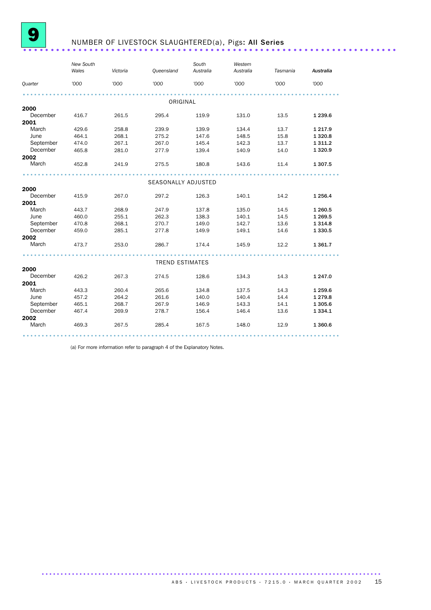

### NUMBER OF LIVESTOCK SLAUGHTERED(a), Pigs: All Series ...........................

|                  | <b>New South</b><br>Wales | Victoria       | Queensland             | South<br>Australia | Western<br>Australia | Tasmania     | Australia              |
|------------------|---------------------------|----------------|------------------------|--------------------|----------------------|--------------|------------------------|
| <b>Quarter</b>   | '000                      | '000           | 000'                   | '000'              | '000                 | '000         | '000                   |
|                  |                           |                |                        |                    |                      |              |                        |
|                  |                           |                | ORIGINAL               |                    |                      |              |                        |
| 2000<br>December |                           |                |                        |                    |                      |              |                        |
| 2001             | 416.7                     | 261.5          | 295.4                  | 119.9              | 131.0                | 13.5         | 1 239.6                |
| March            | 429.6                     | 258.8          | 239.9                  | 139.9              | 134.4                | 13.7         | 1 2 1 7 . 9            |
| June             |                           | 268.1          |                        |                    | 148.5                |              |                        |
| September        | 464.1                     |                | 275.2                  | 147.6              |                      | 15.8         | 1 3 2 0.8              |
| December         | 474.0                     | 267.1<br>281.0 | 267.0                  | 145.4              | 142.3<br>140.9       | 13.7<br>14.0 | 1 3 1 1.2<br>1 3 2 0.9 |
| 2002             | 465.8                     |                | 277.9                  | 139.4              |                      |              |                        |
| March            | 452.8                     | 241.9          | 275.5                  | 180.8              | 143.6                | 11.4         | 1 307.5                |
|                  |                           |                |                        |                    |                      |              |                        |
|                  |                           |                |                        |                    |                      |              |                        |
|                  |                           |                | SEASONALLY ADJUSTED    |                    |                      |              |                        |
| 2000             |                           |                |                        |                    |                      |              |                        |
| December         | 415.9                     | 267.0          | 297.2                  | 126.3              | 140.1                | 14.2         | 1 256.4                |
| 2001             |                           |                |                        |                    |                      |              |                        |
| March            | 443.7                     | 268.9          | 247.9                  | 137.8              | 135.0                | 14.5         | 1 260.5                |
| June             | 460.0                     | 255.1          | 262.3                  | 138.3              | 140.1                | 14.5         | 1 269.5                |
| September        | 470.8                     | 268.1          | 270.7                  | 149.0              | 142.7                | 13.6         | 1 3 1 4.8              |
| December         | 459.0                     | 285.1          | 277.8                  | 149.9              | 149.1                | 14.6         | 1 3 3 0.5              |
| 2002             |                           |                |                        |                    |                      |              |                        |
| March            | 473.7                     | 253.0          | 286.7                  | 174.4              | 145.9                | 12.2         | 1 3 6 1 . 7            |
|                  |                           |                |                        |                    |                      |              |                        |
|                  |                           |                | <b>TREND ESTIMATES</b> |                    |                      |              |                        |
| 2000             |                           |                |                        |                    |                      |              |                        |
| December         | 426.2                     | 267.3          | 274.5                  | 128.6              | 134.3                | 14.3         | 1 247.0                |
| 2001             |                           |                |                        |                    |                      |              |                        |
| March            | 443.3                     | 260.4          | 265.6                  | 134.8              | 137.5                | 14.3         | 1 259.6                |
| June             | 457.2                     | 264.2          | 261.6                  | 140.0              | 140.4                | 14.4         | 1 2 7 9 . 8            |
| September        | 465.1                     | 268.7          | 267.9                  | 146.9              | 143.3                | 14.1         | 1 305.6                |
| December         | 467.4                     | 269.9          | 278.7                  | 156.4              | 146.4                | 13.6         | 1 3 3 4 . 1            |
| 2002             |                           |                |                        |                    |                      |              |                        |
| March            | 469.3                     | 267.5          | 285.4                  | 167.5              | 148.0                | 12.9         | 1 360.6                |
|                  |                           |                |                        |                    |                      |              |                        |

(a) For more information refer to paragraph 4 of the Explanatory Notes.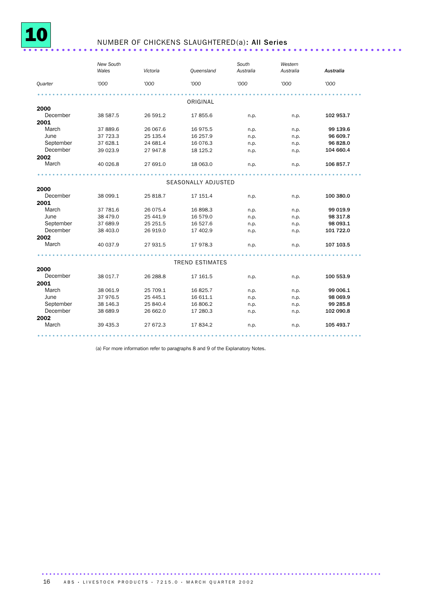

### NUMBER OF CHICKENS SLAUGHTERED(a): All Series ..................................

|           | New South<br>Wales | Victoria   | <b>Queensland</b>      | South<br>Australia | Western<br>Australia | Australia |
|-----------|--------------------|------------|------------------------|--------------------|----------------------|-----------|
| Quarter   | '000               | '000       | '000                   | '000               | '000                 | '000      |
|           |                    |            | ORIGINAL               |                    |                      |           |
| 2000      |                    |            |                        |                    |                      |           |
| December  | 38 587.5           | 26 591.2   | 17855.6                | n.p.               | n.p.                 | 102 953.7 |
| 2001      |                    |            |                        |                    |                      |           |
| March     | 37 889.6           | 26 067.6   | 16 975.5               | n.p.               | n.p.                 | 99 139.6  |
| June      | 37 723.3           | 25 135.4   | 16 257.9               | n.p.               | n.p.                 | 96 609.7  |
| September | 37 628.1           | 24 681.4   | 16 0 76.3              | n.p.               | n.p.                 | 96 828.0  |
| December  | 39 023.9           | 27 947.8   | 18 125.2               | n.p.               | n.p.                 | 104 660.4 |
| 2002      |                    |            |                        |                    |                      |           |
| March     | 40 026.8           | 27 691.0   | 18 063.0               | n.p.               | n.p.                 | 106 857.7 |
|           |                    |            |                        |                    |                      |           |
|           |                    |            | SEASONALLY ADJUSTED    |                    |                      |           |
| 2000      |                    |            |                        |                    |                      |           |
| December  | 38 099.1           | 25 818.7   | 17 151.4               | n.p.               | n.p.                 | 100 380.0 |
| 2001      |                    |            |                        |                    |                      |           |
| March     | 37 781.6           | 26 075.4   | 16898.3                | n.p.               | n.p.                 | 99 019.9  |
| June      | 38 479.0           | 25 441.9   | 16 579.0               | n.p.               | n.p.                 | 98 317.8  |
| September | 37 689.9           | 25 25 1.5  | 16 527.6               | n.p.               | n.p.                 | 98 093.1  |
| December  | 38 403.0           | 26 919.0   | 17 402.9               | n.p.               | n.p.                 | 101 722.0 |
| 2002      |                    |            |                        |                    |                      |           |
| March     | 40 037.9           | 27 931.5   | 17 978.3               | n.p.               | n.p.                 | 107 103.5 |
|           |                    |            | <b>TREND ESTIMATES</b> |                    |                      |           |
| 2000      |                    |            |                        |                    |                      |           |
| December  | 38 017.7           | 26 288.8   | 17 161.5               |                    |                      | 100 553.9 |
| 2001      |                    |            |                        | n.p.               | n.p.                 |           |
| March     | 38 061.9           | 25 709.1   | 16825.7                |                    |                      | 99 006.1  |
| June      | 37 976.5           | 25 4 4 5.1 | 16 611.1               | n.p.               | n.p.                 | 98 069.9  |
| September | 38 146.3           | 25 840.4   | 16 806.2               | n.p.               | n.p.                 | 99 285.8  |
| December  | 38 689.9           |            |                        | n.p.               | n.p.                 | 102 090.8 |
| 2002      |                    | 26 662.0   | 17 280.3               | n.p.               | n.p.                 |           |
| March     | 39 435.3           | 27 672.3   | 17834.2                | n.p.               | n.p.                 | 105 493.7 |
|           |                    |            |                        |                    |                      |           |

(a) For more information refer to paragraphs 8 and 9 of the Explanatory Notes.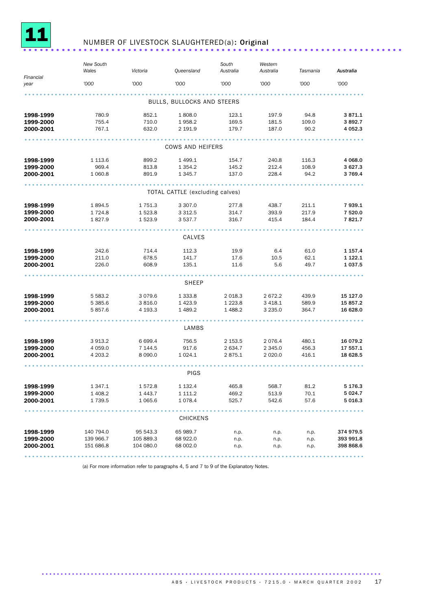

### NUMBER OF LIVESTOCK SLAUGHTERED(a): Original ...................................

|                            | <b>New South</b><br>Wales | Victoria              | Queensland                      | South<br>Australia | Western<br>Australia | Tasmania      | Australia                  |  |  |  |  |  |
|----------------------------|---------------------------|-----------------------|---------------------------------|--------------------|----------------------|---------------|----------------------------|--|--|--|--|--|
| Financial<br>year          | '000                      | '000                  | '000                            | '000               | '000                 | '000          | '000                       |  |  |  |  |  |
|                            |                           |                       |                                 |                    |                      |               |                            |  |  |  |  |  |
| BULLS, BULLOCKS AND STEERS |                           |                       |                                 |                    |                      |               |                            |  |  |  |  |  |
| 1998-1999                  | 780.9                     | 852.1                 | 1808.0                          | 123.1              | 197.9                | 94.8          | 3871.1                     |  |  |  |  |  |
| 1999-2000<br>2000-2001     | 755.4<br>767.1            | 710.0<br>632.0        | 1958.2<br>2 191.9               | 169.5<br>179.7     | 181.5<br>187.0       | 109.0<br>90.2 | 3892.7<br>4 0 5 2.3        |  |  |  |  |  |
|                            |                           |                       |                                 |                    |                      |               |                            |  |  |  |  |  |
| COWS AND HEIFERS           |                           |                       |                                 |                    |                      |               |                            |  |  |  |  |  |
| 1998-1999                  | 1 1 1 3 . 6               | 899.2                 | 1 499.1                         | 154.7              | 240.8                | 116.3         | 4 0 68.0                   |  |  |  |  |  |
| 1999-2000                  | 969.4                     | 813.8                 | 1 3 5 4 . 2                     | 145.2              | 212.4                | 108.9         | 3 627.3                    |  |  |  |  |  |
| 2000-2001                  | 1 060.8                   | 891.9                 | 1 3 4 5 . 7                     | 137.0              | 228.4                | 94.2          | 3 7 6 9.4                  |  |  |  |  |  |
|                            |                           |                       |                                 |                    |                      |               |                            |  |  |  |  |  |
|                            |                           |                       | TOTAL CATTLE (excluding calves) |                    |                      |               |                            |  |  |  |  |  |
| 1998-1999                  | 1894.5                    | 1 751.3               | 3 307.0                         | 277.8              | 438.7                | 211.1         | 7939.1                     |  |  |  |  |  |
| 1999-2000                  | 1 7 2 4 .8                | 1 5 2 3.8             | 3 3 1 2 .5                      | 314.7              | 393.9                | 217.9         | 7 520.0                    |  |  |  |  |  |
| 2000-2001                  | 1827.9                    | 1 523.9               | 3 537.7                         | 316.7              | 415.4                | 184.4         | 7821.7                     |  |  |  |  |  |
| CALVES                     |                           |                       |                                 |                    |                      |               |                            |  |  |  |  |  |
|                            |                           |                       |                                 |                    |                      |               |                            |  |  |  |  |  |
| 1998-1999<br>1999-2000     | 242.6<br>211.0            | 714.4<br>678.5        | 112.3<br>141.7                  | 19.9<br>17.6       | 6.4<br>10.5          | 61.0<br>62.1  | 1 1 5 7 . 4<br>1 1 2 2 . 1 |  |  |  |  |  |
| 2000-2001                  | 226.0                     | 608.9                 | 135.1                           | 11.6               | 5.6                  | 49.7          | 1 0 3 7 .5                 |  |  |  |  |  |
|                            |                           |                       |                                 |                    |                      |               |                            |  |  |  |  |  |
|                            |                           |                       | <b>SHEEP</b>                    |                    |                      |               |                            |  |  |  |  |  |
| 1998-1999                  | 5 5 8 3.2                 | 3 0 7 9.6             | 1 3 3 3 . 8                     | 2 0 18.3           | 2672.2               | 439.9         | 15 127.0                   |  |  |  |  |  |
| 1999-2000                  | 5 3 8 5 . 6               | 3 8 1 6.0             | 1423.9                          | 1 2 2 3 . 8        | 3 4 18.1             | 589.9         | 15 857.2                   |  |  |  |  |  |
| 2000-2001                  | 5857.6                    | 4 193.3               | 1489.2                          | 1488.2             | 3 2 3 5 . 0          | 364.7         | 16 628.0                   |  |  |  |  |  |
|                            |                           |                       | LAMBS                           |                    |                      |               |                            |  |  |  |  |  |
| 1998-1999                  | 3 9 1 3.2                 | 6 699.4               | 756.5                           | 2 153.5            | 2076.4               | 480.1         | 16 079.2                   |  |  |  |  |  |
| 1999-2000                  | 4 0 5 9.0                 | 7 144.5               | 917.6                           | 2 634.7            | 2 3 4 5 .0           | 456.3         | 17 557.1                   |  |  |  |  |  |
| 2000-2001                  | 4 203.2                   | 8 0 9 0.0             | 1 0 24.1                        | 2875.1             | 2 0 2 0.0            | 416.1         | 18 628.5                   |  |  |  |  |  |
|                            |                           |                       | PIGS                            |                    |                      |               |                            |  |  |  |  |  |
| 1998-1999                  | 1 347.1                   | 1 572.8               | 1 1 3 2 . 4                     | 465.8              | 568.7                | 81.2          | 5 176.3                    |  |  |  |  |  |
| 1999-2000                  | 1 408.2                   | 1 4 4 3.7             | 1 111.2                         | 469.2              | 513.9                | 70.1          | 5 0 24.7                   |  |  |  |  |  |
| 2000-2001                  | 1 7 3 9.5                 | 1 0 6 5.6             | 1 0 78.4                        | 525.7              | 542.6                | 57.6          | 5 0 16.3                   |  |  |  |  |  |
|                            |                           |                       | <b>CHICKENS</b>                 |                    |                      |               |                            |  |  |  |  |  |
|                            |                           |                       |                                 |                    |                      |               |                            |  |  |  |  |  |
| 1998-1999<br>1999-2000     | 140 794.0                 | 95 543.3<br>105 889.3 | 65 989.7                        | n.p.               | n.p.                 | n.p.          | 374 979.5<br>393 991.8     |  |  |  |  |  |
| 2000-2001                  | 139 966.7<br>151 686.8    | 104 080.0             | 68 922.0<br>68 002.0            | n.p.<br>n.p.       | n.p.<br>n.p.         | n.p.<br>n.p.  | 398 868.6                  |  |  |  |  |  |
|                            |                           |                       |                                 |                    |                      |               |                            |  |  |  |  |  |

(a) For more information refer to paragraphs 4, 5 and 7 to 9 of the Explanatory Notes.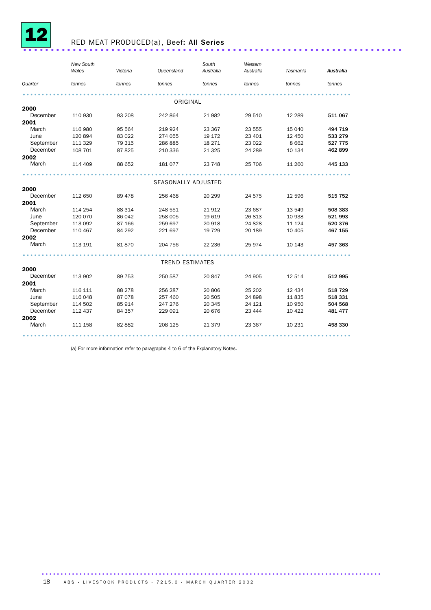

# <sup>12</sup> RED MEAT PRODUCED(a), Beef: All Series .....................................................................

|                       | New South<br>Wales | Victoria | Queensland             | South<br>Australia | Western<br>Australia | Tasmania | Australia |
|-----------------------|--------------------|----------|------------------------|--------------------|----------------------|----------|-----------|
|                       |                    |          |                        |                    |                      |          |           |
| Quarter               | tonnes             | tonnes   | tonnes                 | tonnes             | tonnes               | tonnes   | tonnes    |
|                       |                    |          |                        |                    |                      |          |           |
|                       |                    |          | ORIGINAL               |                    |                      |          |           |
| 2000                  |                    |          |                        |                    |                      |          |           |
| December              | 110 930            | 93 208   | 242 864                | 21 982             | 29 510               | 12 2 8 9 | 511 067   |
| 2001                  |                    |          |                        |                    |                      |          |           |
| March                 | 116 980            | 95 564   | 219 924                | 23 367             | 23 555               | 15 040   | 494 719   |
| June                  | 120 894            | 83 0 22  | 274 055                | 19 17 2            | 23 401               | 12 450   | 533 279   |
| September             | 111 329            | 79 315   | 286 885                | 18 27 1            | 23 0 22              | 8 6 6 2  | 527 775   |
| December              | 108 701            | 87825    | 210 336                | 21 3 25            | 24 289               | 10 134   | 462 899   |
| 2002                  |                    |          |                        |                    |                      |          |           |
| March                 | 114 409            | 88 652   | 181 077                | 23 748             | 25 706               | 11 260   | 445 133   |
|                       |                    |          |                        |                    |                      |          |           |
|                       |                    |          | SEASONALLY ADJUSTED    |                    |                      |          |           |
| 2000                  |                    |          |                        |                    |                      |          |           |
| December              | 112 650            | 89 478   | 256 468                | 20 29 9            | 24 575               | 12 5 9 6 | 515 752   |
| 2001                  |                    |          |                        |                    |                      |          |           |
| March                 | 114 254            | 88 314   | 248 551                | 21 912             | 23 687               | 13 549   | 508 383   |
| June                  | 120 070            | 86 042   | 258 005                | 19 619             | 26 813               | 10 938   | 521 993   |
| September             | 113 092            | 87 166   | 259 697                | 20 918             | 24 8 28              | 11 124   | 520 376   |
| December              | 110 467            | 84 292   | 221 697                | 19 7 29            | 20 189               | 10 4 05  | 467 155   |
| 2002                  |                    |          |                        |                    |                      |          |           |
| March                 | 113 191            | 81870    | 204 756                | 22 2 36            | 25 974               | 10 143   | 457 363   |
|                       |                    |          | <b>TREND ESTIMATES</b> |                    |                      |          |           |
| 2000                  |                    |          |                        |                    |                      |          |           |
| December              | 113 902            | 89 753   | 250 587                | 20 847             | 24 905               | 12 514   | 512 995   |
| 2001                  |                    |          |                        |                    |                      |          |           |
| March                 | 116 111            | 88 278   | 256 287                | 20 806             | 25 20 2              | 12 4 34  | 518 729   |
| June                  | 116 048            | 87078    | 257 460                |                    | 24 898               | 11835    | 518 331   |
|                       |                    |          | 247 276                | 20 505             | 24 1 21              | 10 950   |           |
| September<br>December | 114 502            | 85 914   |                        | 20 345             |                      |          | 504 568   |
|                       | 112 437            | 84 357   | 229 091                | 20 676             | 23 444               | 10 4 22  | 481 477   |
| 2002<br>March         | 111 158            | 82 882   | 208 125                | 21 379             | 23 367               | 10 231   | 458 330   |
|                       |                    |          |                        |                    |                      |          |           |

(a) For more information refer to paragraphs 4 to 6 of the Explanatory Notes.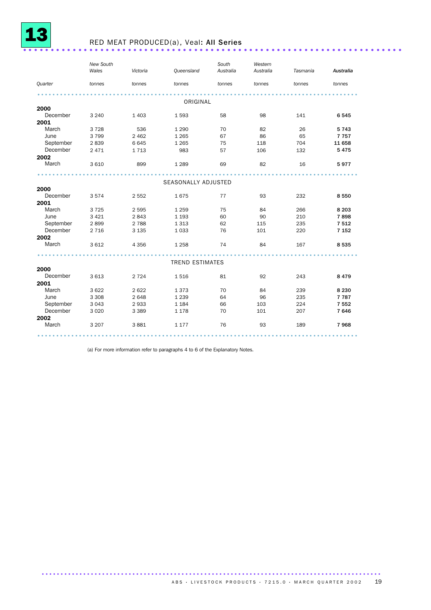

### <sup>13</sup> RED MEAT PRODUCED(a), Veal: All Series .....................................................................

|           | <b>New South</b><br>Wales | Victoria | Queensland             | South<br>Australia | Western<br>Australia | Tasmania | Australia |
|-----------|---------------------------|----------|------------------------|--------------------|----------------------|----------|-----------|
| Quarter   | tonnes                    | tonnes   | tonnes                 | tonnes             | tonnes               | tonnes   | tonnes    |
|           |                           | .        | ORIGINAL               |                    |                      |          |           |
| 2000      |                           |          |                        |                    |                      |          |           |
| December  | 3 2 4 0                   | 1 4 0 3  | 1 5 9 3                | 58                 | 98                   | 141      | 6545      |
| 2001      |                           |          |                        |                    |                      |          |           |
| March     | 3728                      | 536      | 1 2 9 0                | 70                 | 82                   | 26       | 5743      |
| June      | 3 7 9 9                   | 2 4 6 2  | 1 2 6 5                | 67                 | 86                   | 65       | 7757      |
| September | 2839                      | 6645     | 1 2 6 5                | 75                 | 118                  | 704      | 11 658    |
| December  | 2 4 7 1                   | 1713     | 983                    | 57                 | 106                  | 132      | 5475      |
| 2002      |                           |          |                        |                    |                      |          |           |
| March     | 3 6 1 0                   | 899      | 1 2 8 9                | 69                 | 82                   | 16       | 5977      |
|           |                           |          | SEASONALLY ADJUSTED    |                    |                      |          |           |
| 2000      |                           |          |                        |                    |                      |          |           |
| December  | 3574                      | 2 5 5 2  | 1675                   | 77                 | 93                   | 232      | 8550      |
| 2001      |                           |          |                        |                    |                      |          |           |
| March     | 3 7 2 5                   | 2 5 9 5  |                        |                    |                      | 266      | 8 2 0 3   |
| June      | 3 4 2 1                   | 2843     | 1 2 5 9                | 75<br>60           | 84                   | 210      |           |
|           |                           |          | 1 1 9 3                |                    | 90                   |          | 7898      |
| September | 2899                      | 2 7 8 8  | 1 3 1 3                | 62                 | 115                  | 235      | 7 5 1 2   |
| December  | 2 7 1 6                   | 3 1 3 5  | 1 0 3 3                | 76                 | 101                  | 220      | 7 1 5 2   |
| 2002      |                           |          |                        |                    |                      |          |           |
| March     | 3 6 1 2                   | 4 3 5 6  | 1 2 5 8                | 74                 | 84                   | 167      | 8535      |
|           |                           |          | <b>TREND ESTIMATES</b> |                    |                      |          |           |
| 2000      |                           |          |                        |                    |                      |          |           |
| December  | 3 6 1 3                   | 2 7 2 4  | 1516                   | 81                 | 92                   | 243      | 8479      |
| 2001      |                           |          |                        |                    |                      |          |           |
| March     | 3 6 2 2                   | 2 6 2 2  | 1373                   | 70                 | 84                   | 239      | 8 2 3 0   |
| June      | 3 3 0 8                   | 2 6 4 8  | 1 2 3 9                | 64                 | 96                   | 235      | 7 7 8 7   |
| September | 3 0 4 3                   | 2933     | 1 1 8 4                | 66                 | 103                  | 224      | 7 5 5 2   |
| December  | 3 0 2 0                   | 3 3 8 9  | 1 1 7 8                | 70                 | 101                  | 207      | 7646      |
| 2002      |                           |          |                        |                    |                      |          |           |
| March     | 3 2 0 7                   | 3881     | 1 1 7 7                | 76                 | 93                   | 189      | 7968      |
|           |                           |          |                        |                    |                      |          |           |

(a) For more information refer to paragraphs 4 to 6 of the Explanatory Notes.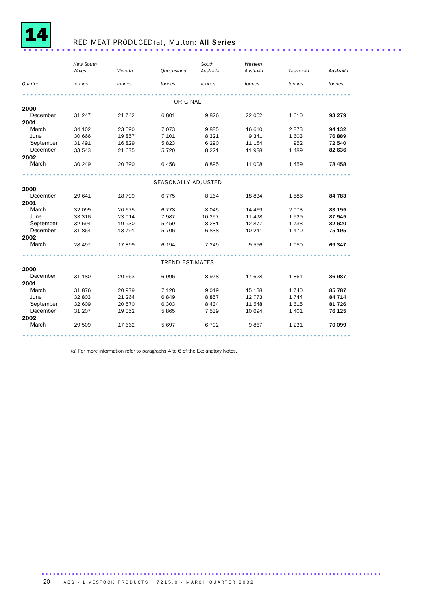

### <sup>14</sup> RED MEAT PRODUCED(a), Mutton: All Series .....................................................................

|           | New South |          |                        | South     | Western   |          |           |  |
|-----------|-----------|----------|------------------------|-----------|-----------|----------|-----------|--|
|           | Wales     | Victoria | Queensland             | Australia | Australia | Tasmania | Australia |  |
| Quarter   | tonnes    | tonnes   | tonnes                 | tonnes    | tonnes    | tonnes   | tonnes    |  |
|           |           |          |                        |           |           |          |           |  |
|           |           |          | ORIGINAL               |           |           |          |           |  |
| 2000      |           |          |                        |           |           |          |           |  |
| December  | 31 247    | 21 7 4 2 | 6801                   | 9826      | 22 052    | 1610     | 93 279    |  |
| 2001      |           |          |                        |           |           |          |           |  |
| March     | 34 102    | 23 590   | 7 0 7 3                | 9885      | 16 610    | 2873     | 94 132    |  |
| June      | 30 666    | 19857    | 7 101                  | 8 3 2 1   | 9 3 4 1   | 1 603    | 76889     |  |
| September | 31 4 91   | 16829    | 5823                   | 6 2 9 0   | 11 154    | 952      | 72 540    |  |
| December  | 33 543    | 21 675   | 5 7 2 0                | 8 2 2 1   | 11 988    | 1 4 8 9  | 82 636    |  |
| 2002      |           |          |                        |           |           |          |           |  |
| March     | 30 249    | 20 390   | 6458                   | 8895      | 11 008    | 1459     | 78 458    |  |
|           |           |          |                        |           |           |          |           |  |
| 2000      |           |          | SEASONALLY ADJUSTED    |           |           |          |           |  |
| December  | 29 641    | 18799    | 6775                   | 8 1 6 4   | 18 834    | 1586     | 84 783    |  |
| 2001      |           |          |                        |           |           |          |           |  |
| March     | 32 099    | 20 675   | 6778                   | 8045      | 14 4 69   | 2073     | 83 195    |  |
| June      | 33 316    | 23 014   | 7987                   | 10 257    | 11 498    | 1529     | 87 545    |  |
| September | 32 594    | 19 930   | 5 4 5 9                | 8 2 8 1   | 12877     | 1733     | 82 620    |  |
| December  | 31 864    | 18 791   | 5 7 0 6                | 6838      | 10 241    | 1470     | 75 195    |  |
| 2002      |           |          |                        |           |           |          |           |  |
| March     | 28 497    | 17899    | 6 1 9 4                | 7 2 4 9   | 9 5 5 6   | 1 0 5 0  | 69 347    |  |
|           |           |          |                        |           |           |          |           |  |
|           |           |          | <b>TREND ESTIMATES</b> |           |           |          |           |  |
| 2000      |           |          |                        |           |           |          |           |  |
| December  | 31 180    | 20 663   | 6996                   | 8978      | 17 628    | 1861     | 86 987    |  |
| 2001      |           |          |                        |           |           |          |           |  |
| March     | 31876     | 20 979   | 7 1 2 8                | 9019      | 15 138    | 1740     | 85 787    |  |
| June      | 32 803    | 21 264   | 6849                   | 8857      | 12 773    | 1744     | 84 714    |  |
| September | 32 609    | 20 570   | 6 3 0 3                | 8 4 3 4   | 11 548    | 1615     | 81726     |  |
| December  | 31 207    | 19 0 52  | 5865                   | 7 5 3 9   | 10 694    | 1 4 0 1  | 76 125    |  |
| 2002      |           |          |                        |           |           |          |           |  |
| March     | 29 509    | 17 662   | 5 6 9 7                | 6702      | 9867      | 1 2 3 1  | 70 099    |  |
|           |           |          |                        |           |           |          |           |  |

(a) For more information refer to paragraphs 4 to 6 of the Explanatory Notes.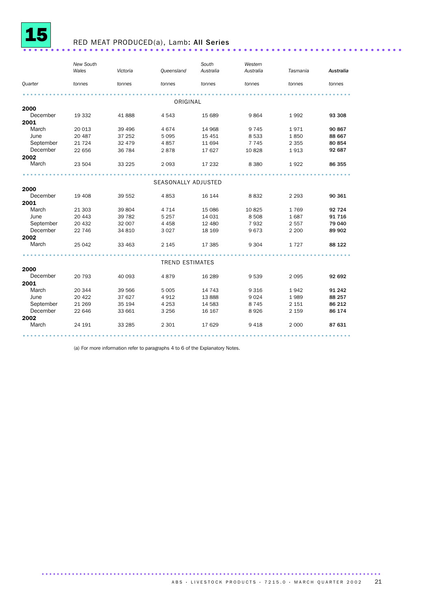

### <sup>15</sup> RED MEAT PRODUCED(a), Lamb: All Series .....................................................................

|                | New South<br>Wales | Victoria | Queensland             | South<br>Australia | Western<br>Australia | Tasmania | Australia |
|----------------|--------------------|----------|------------------------|--------------------|----------------------|----------|-----------|
|                |                    |          |                        |                    |                      |          |           |
| <b>Quarter</b> | tonnes             | tonnes   | tonnes                 | tonnes             | tonnes               | tonnes   | tonnes    |
|                |                    |          |                        |                    |                      |          |           |
|                |                    |          | ORIGINAL               |                    |                      |          |           |
| 2000           |                    |          |                        |                    |                      |          |           |
| December       | 19 332             | 41888    | 4 5 4 3                | 15 689             | 9864                 | 1992     | 93 308    |
| 2001           |                    |          |                        |                    |                      |          |           |
| March          | 20 013             | 39 4 96  | 4674                   | 14 968             | 9 7 4 5              | 1971     | 90 867    |
| June           | 20 487             | 37 25 2  | 5 0 9 5                | 15 4 51            | 8 5 3 3              | 1850     | 88 667    |
| September      | 21 7 24            | 32 479   | 4857                   | 11 694             | 7 7 4 5              | 2 3 5 5  | 80 854    |
| December       | 22 656             | 36 784   | 2878                   | 17 627             | 10 828               | 1913     | 92 687    |
| 2002           |                    |          |                        |                    |                      |          |           |
| March          | 23 504             | 33 2 25  | 2 0 9 3                | 17 232             | 8 3 8 0              | 1922     | 86 355    |
|                |                    |          |                        |                    |                      |          |           |
|                |                    |          | SEASONALLY ADJUSTED    |                    |                      |          |           |
| 2000           |                    |          |                        |                    |                      |          |           |
| December       | 19 408             | 39 552   | 4853                   | 16 144             | 8832                 | 2 2 9 3  | 90 361    |
| 2001           |                    |          |                        |                    |                      |          |           |
| March          | 21 303             | 39 804   | 4 7 1 4                | 15 0 86            | 10 8 25              | 1769     | 92 724    |
| June           | 20 443             | 39 7 82  | 5 2 5 7                | 14 031             | 8 5 0 8              | 1687     | 91 716    |
| September      | 20 432             | 32 007   | 4 4 5 8                | 12 480             | 7932                 | 2 5 5 7  | 79 040    |
| December       | 22 746             | 34 810   | 3 0 2 7                | 18 16 9            | 9673                 | 2 2 0 0  | 89 902    |
| 2002           |                    |          |                        |                    |                      |          |           |
| March          | 25 042             | 33 463   | 2 1 4 5                | 17 385             | 9 3 0 4              | 1727     | 88 122    |
|                |                    |          |                        |                    |                      |          |           |
|                |                    |          | <b>TREND ESTIMATES</b> |                    |                      |          |           |
| 2000           |                    |          |                        |                    |                      |          |           |
| December       | 20 793             | 40 093   | 4879                   | 16 28 9            | 9539                 | 2 0 9 5  | 92 692    |
| 2001           |                    |          |                        |                    |                      |          |           |
| March          | 20 344             | 39 566   | 5 0 0 5                | 14 7 4 3           | 9 3 1 6              | 1942     | 91 242    |
| June           | 20 4 22            | 37 627   | 4912                   | 13 888             | 9 0 2 4              | 1989     | 88 257    |
| September      | 21 269             | 35 194   | 4 2 5 3                | 14 583             | 8745                 | 2 1 5 1  | 86 212    |
| December       | 22 646             | 33 661   | 3 2 5 6                | 16 167             | 8926                 | 2 1 5 9  | 86 174    |
| 2002           |                    |          |                        |                    |                      |          |           |
| March          | 24 191             | 33 285   | 2 3 0 1                | 17 629             | 9 4 1 8              | 2 0 0 0  | 87 631    |
|                |                    |          |                        |                    |                      |          |           |

(a) For more information refer to paragraphs 4 to 6 of the Explanatory Notes.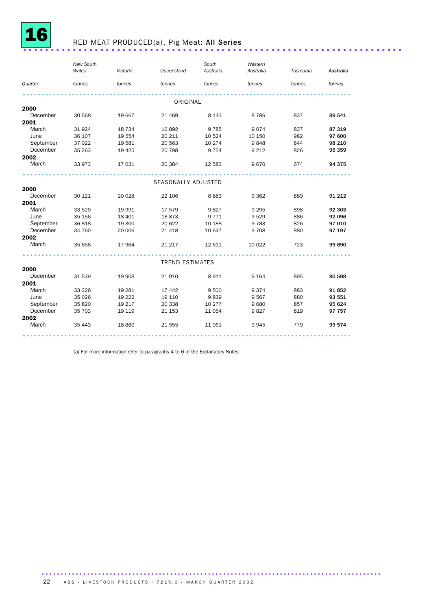

### <sup>16</sup> RED MEAT PRODUCED(a), Pig Meat: All Series .....................................................................

|                | <b>New South</b> |          |                        | South     | Western   |          |           |
|----------------|------------------|----------|------------------------|-----------|-----------|----------|-----------|
|                | Wales            | Victoria | <b>Queensland</b>      | Australia | Australia | Tasmania | Australia |
| <b>Quarter</b> | tonnes           | tonnes   | tonnes                 | tonnes    | tonnes    | tonnes   | tonnes    |
|                |                  |          |                        |           |           |          |           |
|                |                  |          | ORIGINAL               |           |           |          |           |
| 2000           |                  |          |                        |           |           |          |           |
| December       | 30 568           | 19 667   | 21 4 6 9               | 8 1 4 3   | 8786      | 837      | 89 541    |
| 2001           |                  |          |                        |           |           |          |           |
| March          | 31924            | 18 7 34  | 16892                  | 9 7 8 5   | 9074      | 837      | 87 319    |
| June           | 36 107           | 19 554   | 20 211                 | 10 5 24   | 10 150    | 982      | 97 600    |
| September      | 37 022           | 19 581   | 20 563                 | 10 274    | 9848      | 844      | 98 210    |
| December       | 35 263           | 19 4 25  | 20 798                 | 9 7 5 4   | 9 2 1 2   | 826      | 95 359    |
| 2002           |                  |          |                        |           |           |          |           |
| March          | 33 973           | 17 031   | 20 384                 | 12 583    | 9670      | 674      | 94 375    |
|                |                  |          |                        |           |           |          |           |
| 2000           |                  |          | SEASONALLY ADJUSTED    |           |           |          |           |
|                |                  |          |                        |           |           |          |           |
| December       | 30 121           | 20 0 28  | 22 106                 | 8883      | 9 3 6 2   | 889      | 91 212    |
| 2001           |                  |          |                        |           |           |          |           |
| March          | 33 5 20          | 19 991   | 17579                  | 9827      | 9 2 9 5   | 898      | 92 303    |
| June           | 35 156           | 18 401   | 18873                  | 9 7 7 1   | 9529      | 886      | 92 096    |
| September      | 36818            | 19 300   | 20 622                 | 10 188    | 9783      | 826      | 97 010    |
| December       | 34 760           | 20 006   | 21 4 18                | 10 647    | 9708      | 880      | 97 197    |
| 2002           |                  |          |                        |           |           |          |           |
| March          | 35 656           | 17964    | 21 217                 | 12 611    | 10 0 22   | 723      | 99 690    |
|                |                  |          | <b>TREND ESTIMATES</b> |           |           |          |           |
| 2000           |                  |          |                        |           |           |          |           |
| December       | 31 539           | 19 908   | 21910                  | 8 9 1 1   | 9 1 6 4   | 895      | 90 598    |
| 2001           |                  |          |                        |           |           |          |           |
| March          | 33 3 26          |          |                        | 9 500     | 9374      | 883      | 91852     |
|                |                  | 19 28 1  | 17 442                 |           |           |          |           |
| June           | 35 0 26          | 19 2 22  | 19 110                 | 9839      | 9567      | 880      | 93 551    |
| September      | 35 820           | 19 217   | 20 338                 | 10 277    | 9680      | 857      | 95 624    |
| December       | 35 703           | 19 119   | 21 153                 | 11 0 54   | 9827      | 819      | 97 757    |
| 2002           |                  |          |                        |           |           |          |           |
| March          | 35 4 43          | 18 860   | 21 555                 | 11 961    | 9945      | 779      | 99 574    |
|                |                  |          |                        |           |           |          |           |

(a) For more information refer to paragraphs 4 to 6 of the Explanatory Notes.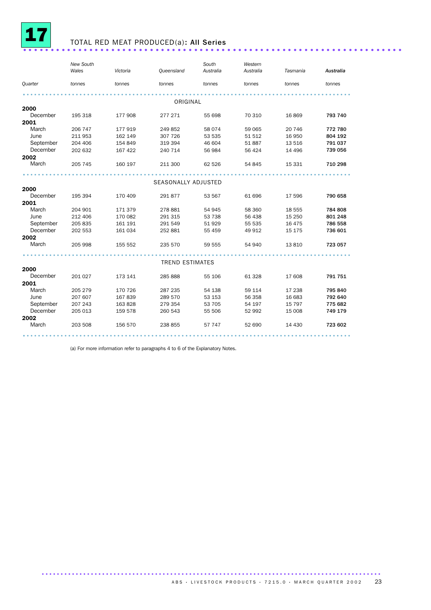

### <sup>17</sup> TOTAL RED MEAT PRODUCED(a): All Series .....................................................................

|                  | New South<br>Wales | Victoria | Queensland                 | South<br>Australia | Western<br>Australia | Tasmania         | Australia          |
|------------------|--------------------|----------|----------------------------|--------------------|----------------------|------------------|--------------------|
| Quarter          | tonnes             | tonnes   | tonnes                     | tonnes             | tonnes               | tonnes           | tonnes             |
|                  |                    |          |                            |                    |                      |                  |                    |
|                  |                    |          |                            |                    |                      |                  |                    |
|                  |                    |          | ORIGINAL                   |                    |                      |                  |                    |
| 2000<br>December |                    |          |                            |                    |                      |                  |                    |
|                  | 195 318            | 177 908  | 277 271                    | 55 698             | 70 310               | 16869            | 793 740            |
| 2001<br>March    |                    |          |                            |                    | 59 065               |                  |                    |
| June             | 206 747<br>211 953 | 177 919  | 249 852<br>307 726         | 58 0 74            | 51 512               | 20 746<br>16 950 | 772 780<br>804 192 |
| September        | 204 406            | 162 149  |                            | 53 535<br>46 604   | 51 887               | 13 516           | 791 037            |
| December         |                    | 154 849  | 319 394                    |                    |                      |                  |                    |
| 2002             | 202 632            | 167 422  | 240 714                    | 56 984             | 56 424               | 14 4 96          | 739 056            |
| March            | 205 745            | 160 197  | 211 300                    | 62 526             | 54 845               | 15 331           | 710 298            |
|                  |                    |          |                            |                    |                      |                  |                    |
|                  |                    |          |                            |                    |                      |                  |                    |
|                  |                    |          | <b>SEASONALLY ADJUSTED</b> |                    |                      |                  |                    |
| 2000             |                    |          |                            |                    |                      |                  |                    |
| December         | 195 394            | 170 409  | 291 877                    | 53 567             | 61 696               | 17 596           | 790 658            |
| 2001             |                    |          |                            |                    |                      |                  |                    |
| March            | 204 901            | 171 379  | 278 881                    | 54 945             | 58 360               | 18 555           | 784 808            |
| June             | 212 406            | 170 082  | 291 315                    | 53 738             | 56 438               | 15 250           | 801 248            |
| September        | 205 835            | 161 191  | 291 549                    | 51 929             | 55 535               | 16 475           | 786 558            |
| December         | 202 553            | 161 034  | 252 881                    | 55 459             | 49 912               | 15 175           | 736 601            |
| 2002             |                    |          |                            |                    |                      |                  |                    |
| March            | 205 998            | 155 552  | 235 570                    | 59 555             | 54 940               | 13810            | 723 057            |
|                  |                    |          |                            |                    |                      |                  |                    |
|                  |                    |          | <b>TREND ESTIMATES</b>     |                    |                      |                  |                    |
| 2000             |                    |          |                            |                    |                      |                  |                    |
| December         | 201 027            | 173 141  | 285 888                    | 55 106             | 61 328               | 17 608           | 791 751            |
| 2001             |                    |          |                            |                    |                      |                  |                    |
| March            | 205 279            | 170 726  | 287 235                    | 54 138             | 59 114               | 17 238           | 795 840            |
| June             | 207 607            | 167839   | 289 570                    | 53 153             | 56 358               | 16 683           | 792 640            |
| September        | 207 243            | 163 828  | 279 354                    | 53 705             | 54 197               | 15 7 9 7         | 775 682            |
| December         | 205 013            | 159 578  | 260 543                    | 55 506             | 52 992               | 15 008           | 749 179            |
| 2002             |                    |          |                            |                    |                      |                  |                    |
| March            | 203 508            | 156 570  | 238 855                    | 57 747             | 52 690               | 14 4 30          | 723 602            |
|                  |                    |          |                            |                    |                      |                  |                    |

(a) For more information refer to paragraphs 4 to 6 of the Explanatory Notes.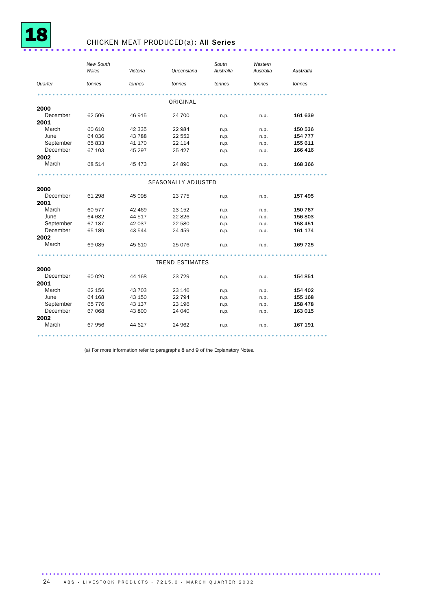

### <sup>18</sup> CHICKEN MEAT PRODUCED(a): All Series ....................................................................

|           | <b>New South</b><br>Wales | Victoria | <b>Queensland</b>      | South<br>Australia | Western<br>Australia | Australia |
|-----------|---------------------------|----------|------------------------|--------------------|----------------------|-----------|
| Quarter   | tonnes                    | tonnes   | tonnes                 | tonnes             | tonnes               | tonnes    |
|           |                           |          | ORIGINAL               |                    |                      |           |
| 2000      |                           |          |                        |                    |                      |           |
| December  | 62 506                    | 46 915   | 24 700                 | n.p.               | n.p.                 | 161 639   |
| 2001      |                           |          |                        |                    |                      |           |
| March     | 60 610                    | 42 335   | 22 984                 | n.p.               | n.p.                 | 150 536   |
| June      | 64 036                    | 43 788   | 22 552                 | n.p.               | n.p.                 | 154 777   |
| September | 65 833                    | 41 170   | 22 114                 | n.p.               | n.p.                 | 155 611   |
| December  | 67 103                    | 45 297   | 25 4 27                | n.p.               | n.p.                 | 166 416   |
| 2002      |                           |          |                        |                    |                      |           |
| March     | 68 514                    | 45 473   | 24 890                 | n.p.               | n.p.                 | 168 366   |
|           |                           |          |                        |                    |                      |           |
|           |                           |          | SEASONALLY ADJUSTED    |                    |                      |           |
| 2000      |                           |          |                        |                    |                      |           |
| December  | 61 298                    | 45 098   | 23 7 7 5               | n.p.               | n.p.                 | 157 495   |
| 2001      |                           |          |                        |                    |                      |           |
| March     | 60 577                    | 42 469   | 23 152                 | n.p.               | n.p.                 | 150 767   |
| June      | 64 682                    | 44 517   | 22826                  | n.p.               | n.p.                 | 156 803   |
| September | 67 187                    | 42 037   | 22 580                 | n.p.               | n.p.                 | 158 451   |
| December  | 65 189                    | 43 544   | 24 459                 | n.p.               | n.p.                 | 161 174   |
| 2002      |                           |          |                        |                    |                      |           |
| March     | 69 085                    | 45 610   | 25 0 76                | n.p.               | n.p.                 | 169 725   |
|           |                           |          | <b>TREND ESTIMATES</b> |                    |                      |           |
| 2000      |                           |          |                        |                    |                      |           |
| December  | 60 0 20                   | 44 168   | 23 7 29                | n.p.               | n.p.                 | 154 851   |
| 2001      |                           |          |                        |                    |                      |           |
| March     | 62 156                    | 43 703   | 23 146                 | n.p.               | n.p.                 | 154 402   |
| June      | 64 168                    | 43 150   | 22 794                 | n.p.               | n.p.                 | 155 168   |
| September | 65 7 7 6                  | 43 137   | 23 196                 | n.p.               | n.p.                 | 158 478   |
| December  | 67 068                    | 43 800   | 24 040                 | n.p.               | n.p.                 | 163 015   |
| 2002      |                           |          |                        |                    |                      |           |
| March     | 67 956                    | 44 627   | 24 962                 | n.p.               | n.p.                 | 167 191   |
|           |                           |          |                        |                    |                      |           |

(a) For more information refer to paragraphs 8 and 9 of the Explanatory Notes.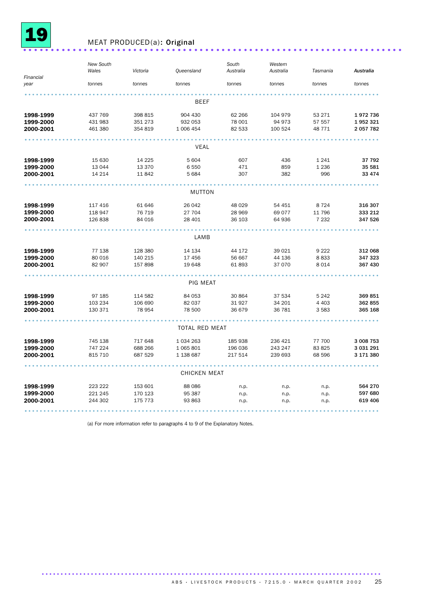

### <sup>19</sup> MEAT PRODUCED(a): Original .....................................................................

|                   | <b>New South</b> |          |                       | South     | Western   |          |           |
|-------------------|------------------|----------|-----------------------|-----------|-----------|----------|-----------|
|                   | Wales            | Victoria | Queensland            | Australia | Australia | Tasmania | Australia |
| Financial<br>year | tonnes           | tonnes   | tonnes                | tonnes    | tonnes    | tonnes   | tonnes    |
|                   |                  |          |                       |           |           |          |           |
|                   |                  |          | BEEF                  |           |           |          |           |
|                   |                  |          |                       |           |           |          |           |
| 1998-1999         | 437 769          | 398 815  | 904 430               | 62 266    | 104 979   | 53 271   | 1972736   |
| 1999-2000         | 431 983          | 351 273  | 932 053               | 78 001    | 94 973    | 57 557   | 1952321   |
| 2000-2001         | 461 380          | 354 819  | 1 006 454             | 82 533    | 100 524   | 48 771   | 2 057 782 |
|                   |                  |          |                       |           |           |          |           |
|                   |                  |          | VEAL                  |           |           |          |           |
| 1998-1999         | 15 630           | 14 2 25  | 5 604                 | 607       | 436       | 1 2 4 1  | 37 792    |
| 1999-2000         | 13 0 44          | 13 3 70  | 6 5 5 0               | 471       | 859       | 1 2 3 6  | 35 581    |
| 2000-2001         | 14 214           | 11842    | 5 6 8 4               | 307       | 382       | 996      | 33 4 74   |
|                   |                  |          |                       |           |           |          |           |
|                   |                  |          | MUTTON                |           |           |          |           |
| 1998-1999         | 117 416          | 61 646   | 26 042                | 48 0 29   | 54 451    | 8724     | 316 307   |
| 1999-2000         | 118 947          | 76 719   | 27 704                | 28 969    | 69 0 77   | 11 796   | 333 212   |
| 2000-2001         | 126 838          | 84 016   | 28 401                | 36 103    | 64 936    | 7 2 3 2  | 347 526   |
|                   |                  |          |                       |           |           |          |           |
|                   |                  |          | LAMB                  |           |           |          |           |
| 1998-1999         | 77 138           | 128 380  | 14 134                | 44 172    | 39 0 21   | 9 2 2 2  | 312 068   |
| 1999-2000         | 80 016           | 140 215  | 17 456                | 56 667    | 44 136    | 8833     | 347 323   |
| 2000-2001         | 82 907           | 157 898  | 19 648                | 61893     | 37 070    | 8014     | 367 430   |
|                   |                  |          |                       |           |           |          |           |
|                   |                  |          | PIG MEAT              |           |           |          |           |
| 1998-1999         | 97 185           | 114 582  | 84 053                | 30 864    | 37 534    | 5 2 4 2  | 369851    |
| 1999-2000         | 103 234          | 106 690  | 82 037                | 31 927    | 34 201    | 4 4 0 3  | 362 855   |
| 2000-2001         | 130 371          | 78 954   | 78 500                | 36 679    | 36 781    | 3583     | 365 168   |
|                   |                  |          |                       |           |           |          |           |
|                   |                  |          | <b>TOTAL RED MEAT</b> |           |           |          |           |
| 1998-1999         | 745 138          | 717 648  | 1 0 34 2 63           | 185 938   | 236 421   | 77 700   | 3 008 753 |
| 1999-2000         | 747 224          | 688 266  | 1 0 65 8 0 1          | 196 036   | 243 247   | 83 825   | 3 031 291 |
| 2000-2001         | 815 710          | 687 529  | 1 138 687             | 217 514   | 239 693   | 68 596   | 3 171 380 |
|                   |                  |          |                       |           |           |          |           |
|                   |                  |          | <b>CHICKEN MEAT</b>   |           |           |          |           |
| 1998-1999         | 223 222          | 153 601  | 88 0 86               | n.p.      | n.p.      | n.p.     | 564 270   |
| 1999-2000         | 221 245          | 170 123  | 95 387                | n.p.      | n.p.      | n.p.     | 597 680   |
| 2000-2001         | 244 302          | 175 773  | 93 863                | n.p.      | n.p.      | n.p.     | 619 406   |
|                   |                  |          |                       |           |           |          |           |

(a) For more information refer to paragraphs 4 to 9 of the Explanatory Notes.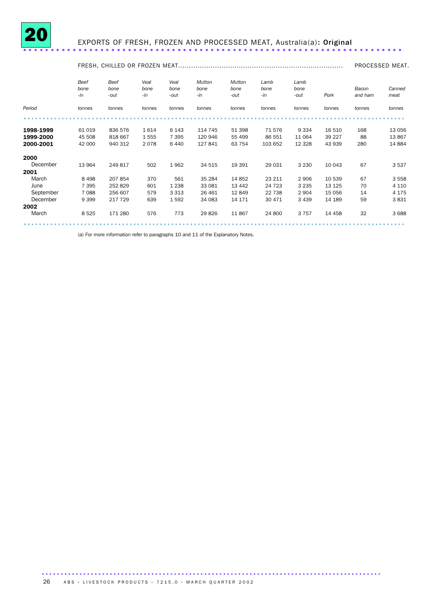

## <sup>20</sup> EXPORTS OF FRESH, FROZEN AND PROCESSED MEAT, Australia(a): Original .....................................................................

|           |                     |                      |                     |                      |                       |                               |                     |                      |         |                  | PROCESSED MEAT. |  |
|-----------|---------------------|----------------------|---------------------|----------------------|-----------------------|-------------------------------|---------------------|----------------------|---------|------------------|-----------------|--|
|           | Beef<br>bone<br>-in | Beef<br>bone<br>-out | Veal<br>bone<br>-in | Veal<br>bone<br>-out | Mutton<br>bone<br>-in | <b>Mutton</b><br>bone<br>-out | Lamb<br>bone<br>-in | Lamb<br>bone<br>-out | Pork    | Bacon<br>and ham | Canned<br>meat  |  |
| Period    | tonnes              | tonnes               | tonnes              | tonnes               | tonnes                | tonnes                        | tonnes              | tonnes               | tonnes  | tonnes           | tonnes          |  |
|           |                     |                      |                     |                      |                       |                               |                     |                      |         |                  |                 |  |
| 1998-1999 | 61 019              | 836 576              | 1614                | 6 1 4 3              | 114 745               | 51 398                        | 71 576              | 9 3 3 4              | 16 510  | 168              | 13 056          |  |
| 1999-2000 | 45 508              | 818 667              | 1555                | 7 3 9 5              | 120 946               | 55 499                        | 86 551              | 11 0 64              | 39 227  | 88               | 13 867          |  |
| 2000-2001 | 42 000              | 940 312              | 2078                | 6440                 | 127 841               | 63 754                        | 103 652             | 12 3 28              | 43 939  | 280              | 14 8 84         |  |
| 2000      |                     |                      |                     |                      |                       |                               |                     |                      |         |                  |                 |  |
| December  | 13 964              | 249 817              | 502                 | 1962                 | 34 515                | 19 391                        | 29 031              | 3 2 3 0              | 10 043  | 67               | 3537            |  |
| 2001      |                     |                      |                     |                      |                       |                               |                     |                      |         |                  |                 |  |
| March     | 8 4 9 8             | 207 854              | 370                 | 561                  | 35 284                | 14 852                        | 23 211              | 2 9 0 6              | 10 539  | 67               | 3 5 5 8         |  |
| June      | 7 3 9 5             | 252 829              | 601                 | 1 2 3 8              | 33 081                | 13 442                        | 24 7 23             | 3 2 3 5              | 13 1 25 | 70               | 4 1 1 0         |  |
| September | 7 0 8 8             | 256 607              | 579                 | 3 3 1 3              | 26 4 61               | 12 849                        | 22 738              | 2 9 0 4              | 15 0 56 | 14               | 4 1 7 5         |  |
| December  | 9 3 9 9             | 217 729              | 639                 | 1592                 | 34 083                | 14 171                        | 30 471              | 3 4 3 9              | 14 189  | 59               | 3831            |  |
| 2002      |                     |                      |                     |                      |                       |                               |                     |                      |         |                  |                 |  |
| March     | 8 5 2 5             | 171 280              | 576                 | 773                  | 29826                 | 11 867                        | 24 800              | 3757                 | 14 4 58 | 32               | 3688            |  |
|           |                     |                      |                     |                      |                       |                               |                     |                      |         |                  |                 |  |

(a) For more information refer to paragraphs 10 and 11 of the Explanatory Notes.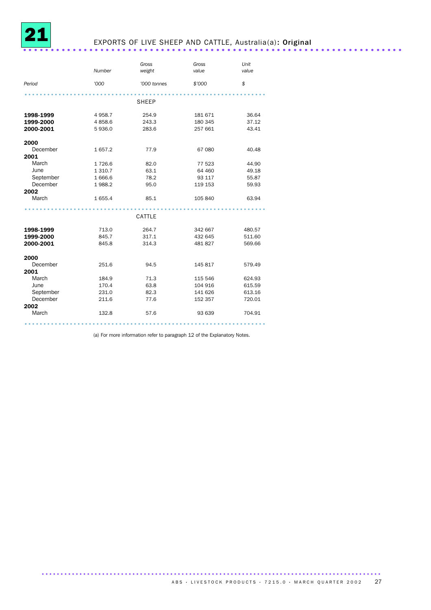

### EXPORTS OF LIVE SHEEP AND CATTLE, Australia(a): Original .......................

|           |           | Gross       | Gross   | Unit   |
|-----------|-----------|-------------|---------|--------|
|           | Number    | weight      | value   | value  |
| Period    | '000      | '000 tonnes | \$'000  | \$     |
|           |           | SHEEP       |         |        |
| 1998-1999 | 4 9 58.7  | 254.9       | 181 671 | 36.64  |
| 1999-2000 | 4858.6    | 243.3       | 180 345 | 37.12  |
| 2000-2001 | 5936.0    | 283.6       | 257 661 | 43.41  |
| 2000      |           |             |         |        |
| December  | 1657.2    | 77.9        | 67 080  | 40.48  |
| 2001      |           |             |         |        |
| March     | 1726.6    | 82.0        | 77 523  | 44.90  |
| June      | 1 3 1 0.7 | 63.1        | 64 460  | 49.18  |
| September | 1666.6    | 78.2        | 93 117  | 55.87  |
| December  | 1988.2    | 95.0        | 119 153 | 59.93  |
| 2002      |           |             |         |        |
| March     | 1 655.4   | 85.1        | 105 840 | 63.94  |
|           |           | CATTLE      |         |        |
| 1998-1999 | 713.0     | 264.7       | 342 667 | 480.57 |
| 1999-2000 | 845.7     | 317.1       | 432 645 | 511.60 |
| 2000-2001 | 845.8     | 314.3       | 481827  | 569.66 |
| 2000      |           |             |         |        |
| December  | 251.6     | 94.5        | 145 817 | 579.49 |
| 2001      |           |             |         |        |
| March     | 184.9     | 71.3        | 115 546 | 624.93 |
| June      | 170.4     | 63.8        | 104 916 | 615.59 |
| September | 231.0     | 82.3        | 141 626 | 613.16 |
| December  | 211.6     | 77.6        | 152 357 | 720.01 |
| 2002      |           |             |         |        |
| March     | 132.8     | 57.6        | 93 639  | 704.91 |
|           |           |             |         |        |

(a) For more information refer to paragraph 12 of the Explanatory Notes.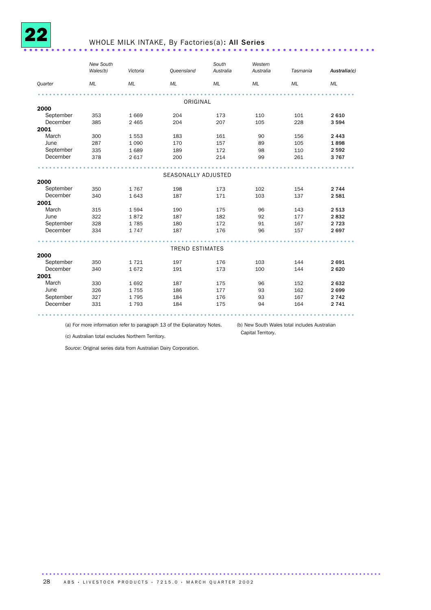

### WHOLE MILK INTAKE, By Factories(a): All Series .................................

|           | New South<br>Wales(b) | Victoria | Queensland             | South<br>Australia | Western<br>Australia | Tasmania | Australia(c) |
|-----------|-----------------------|----------|------------------------|--------------------|----------------------|----------|--------------|
| Quarter   | ML                    | ML       | ML                     | ML                 | ML                   | ML       | ML           |
|           |                       |          |                        |                    |                      |          |              |
|           |                       |          | ORIGINAL               |                    |                      |          |              |
| 2000      |                       |          |                        |                    |                      |          |              |
| September | 353                   | 1 6 6 9  | 204                    | 173                | 110                  | 101      | 2 6 1 0      |
| December  | 385                   | 2 4 6 5  | 204                    | 207                | 105                  | 228      | 3 5 9 4      |
| 2001      |                       |          |                        |                    |                      |          |              |
| March     | 300                   | 1553     | 183                    | 161                | 90                   | 156      | 2 4 4 3      |
| June      | 287                   | 1 0 9 0  | 170                    | 157                | 89                   | 105      | 1898         |
| September | 335                   | 1689     | 189                    | 172                | 98                   | 110      | 2 5 9 2      |
| December  | 378                   | 2617     | 200                    | 214                | 99                   | 261      | 3767         |
|           |                       |          | SEASONALLY ADJUSTED    |                    |                      |          |              |
| 2000      |                       |          |                        |                    |                      |          |              |
| September | 350                   | 1767     | 198                    | 173                | 102                  | 154      | 2 7 4 4      |
| December  | 340                   | 1643     | 187                    | 171                | 103                  | 137      | 2581         |
| 2001      |                       |          |                        |                    |                      |          |              |
| March     | 315                   | 1594     | 190                    | 175                | 96                   | 143      | 2 5 1 3      |
| June      | 322                   | 1872     | 187                    | 182                | 92                   | 177      | 2832         |
| September | 328                   | 1785     | 180                    | 172                | 91                   | 167      | 2 7 2 3      |
| December  | 334                   | 1747     | 187                    | 176                | 96                   | 157      | 2697         |
|           |                       |          |                        |                    |                      |          |              |
|           |                       |          | <b>TREND ESTIMATES</b> |                    |                      |          |              |
| 2000      |                       |          |                        |                    |                      |          |              |
| September | 350                   | 1721     | 197                    | 176                | 103                  | 144      | 2691         |
| December  | 340                   | 1672     | 191                    | 173                | 100                  | 144      | 2620         |
| 2001      |                       |          |                        |                    |                      |          |              |
| March     | 330                   | 1692     | 187                    | 175                | 96                   | 152      | 2632         |
| June      | 326                   | 1755     | 186                    | 177                | 93                   | 162      | 2699         |
| September | 327                   | 1795     | 184                    | 176                | 93                   | 167      | 2 7 4 2      |
| December  | 331                   | 1793     | 184                    | 175                | 94                   | 164      | 2 7 4 1      |
|           |                       |          |                        |                    |                      |          |              |

(a) For more information refer to paragraph 13 of the Explanatory Notes.

(b) New South Wales total includes Australian Capital Territory.

(c) Australian total excludes Northern Territory.

*Source*: Original series data from Australian Dairy Corporation.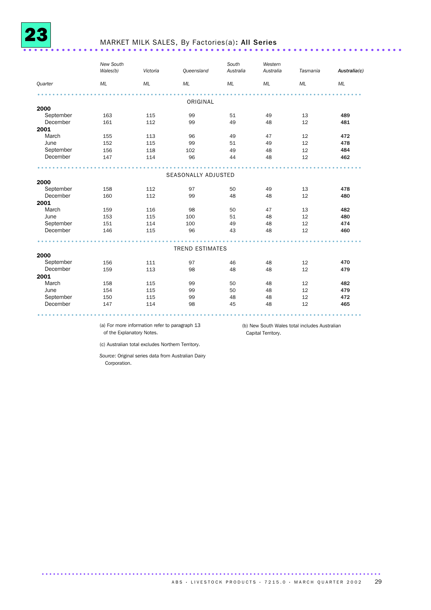

#### MARKET MILK SALES, By Factories(a): All Series ..................................

|           | New South<br>Wales(b) | Victoria | Queensland             | South<br>Australia | Western<br>Australia | Tasmania | Australia(c) |
|-----------|-----------------------|----------|------------------------|--------------------|----------------------|----------|--------------|
| Quarter   | ML                    | ML       | ML                     | ML                 | ML                   | ML       | ML           |
|           |                       |          |                        |                    |                      |          |              |
|           |                       |          | ORIGINAL               |                    |                      |          |              |
| 2000      |                       |          |                        |                    |                      |          |              |
| September | 163                   | 115      | 99                     | 51                 | 49                   | 13       | 489          |
| December  | 161                   | 112      | 99                     | 49                 | 48                   | 12       | 481          |
| 2001      |                       |          |                        |                    |                      |          |              |
| March     | 155                   | 113      | 96                     | 49                 | 47                   | 12       | 472          |
| June      | 152                   | 115      | 99                     | 51                 | 49                   | 12       | 478          |
| September | 156                   | 118      | 102                    | 49                 | 48                   | 12       | 484          |
| December  | 147                   | 114      | 96                     | 44                 | 48                   | 12       | 462          |
|           |                       |          | SEASONALLY ADJUSTED    |                    |                      |          |              |
| 2000      |                       |          |                        |                    |                      |          |              |
| September | 158                   | 112      | 97                     | 50                 | 49                   | 13       | 478          |
| December  | 160                   | 112      | 99                     | 48                 | 48                   | 12       | 480          |
| 2001      |                       |          |                        |                    |                      |          |              |
| March     | 159                   | 116      | 98                     | 50                 | 47                   | 13       | 482          |
| June      | 153                   | 115      | 100                    | 51                 | 48                   | 12       | 480          |
| September | 151                   | 114      | 100                    | 49                 | 48                   | 12       | 474          |
| December  | 146                   | 115      | 96                     | 43                 | 48                   | 12       | 460          |
|           |                       |          |                        |                    |                      |          |              |
|           |                       |          | <b>TREND ESTIMATES</b> |                    |                      |          |              |
| 2000      |                       |          |                        |                    |                      |          |              |
| September | 156                   | 111      | 97                     | 46                 | 48                   | 12       | 470          |
| December  | 159                   | 113      | 98                     | 48                 | 48                   | 12       | 479          |
| 2001      |                       |          |                        |                    |                      |          |              |
| March     | 158                   | 115      | 99                     | 50                 | 48                   | 12       | 482          |
| June      | 154                   | 115      | 99                     | 50                 | 48                   | 12       | 479          |
| September | 150                   | 115      | 99                     | 48                 | 48                   | 12       | 472          |
| December  | 147                   | 114      | 98                     | 45                 | 48                   | 12       | 465          |
|           |                       |          |                        |                    |                      |          |              |

(a) For more information refer to paragraph 13 of the Explanatory Notes.

(b) New South Wales total includes Australian Capital Territory.

(c) Australian total excludes Northern Territory.

*Source*: Original series data from Australian Dairy Corporation.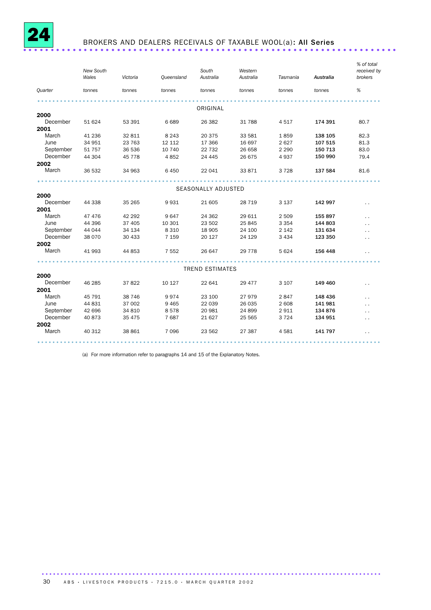

### BROKERS AND DEALERS RECEIVALS OF TAXABLE WOOL(a): All Series ...................

|           | New South<br>Wales | Victoria | Queensland | South<br>Australia     | Western<br>Australia | Tasmania | Australia | % of total<br>received by<br>brokers |
|-----------|--------------------|----------|------------|------------------------|----------------------|----------|-----------|--------------------------------------|
| Quarter   | tonnes             | tonnes   | tonnes     | tonnes                 | tonnes               | tonnes   | tonnes    | %                                    |
|           |                    |          |            |                        |                      |          |           |                                      |
|           |                    |          |            | ORIGINAL               |                      |          |           |                                      |
| 2000      |                    |          |            |                        |                      |          |           |                                      |
| December  | 51 624             | 53 391   | 6689       | 26 382                 | 31 788               | 4517     | 174 391   | 80.7                                 |
| 2001      |                    |          |            |                        |                      |          |           |                                      |
| March     | 41 236             | 32 811   | 8 2 4 3    | 20 375                 | 33 581               | 1859     | 138 105   | 82.3                                 |
| June      | 34 951             | 23 763   | 12 112     | 17 366                 | 16 697               | 2627     | 107 515   | 81.3                                 |
| September | 51 757             | 36 536   | 10 740     | 22 7 32                | 26 658               | 2 2 9 0  | 150 713   | 83.0                                 |
| December  | 44 304             | 45 7 7 8 | 4852       | 24 445                 | 26 675               | 4937     | 150 990   | 79.4                                 |
| 2002      |                    |          |            |                        |                      |          |           |                                      |
| March     | 36 532             | 34 963   | 6450       | 22 041                 | 33 871               | 3728     | 137 584   | 81.6                                 |
|           |                    |          |            |                        |                      |          |           |                                      |
|           |                    |          |            | SEASONALLY ADJUSTED    |                      |          |           |                                      |
| 2000      |                    |          |            |                        |                      |          |           |                                      |
| December  | 44 338             | 35 265   | 9931       | 21 605                 | 28 7 19              | 3 1 3 7  | 142 997   | $\ddot{\phantom{1}}$                 |
| 2001      |                    |          |            |                        |                      |          |           |                                      |
| March     | 47 476             | 42 292   | 9647       | 24 362                 | 29 611               | 2 5 0 9  | 155 897   | $\ddot{\phantom{0}}$                 |
| June      | 44 396             | 37 405   | 10 301     | 23 502                 | 25 845               | 3 3 5 4  | 144 803   | $\ddot{\phantom{0}}$                 |
| September | 44 044             | 34 134   | 8 3 1 0    | 18 905                 | 24 100               | 2 1 4 2  | 131 634   | $\ddot{\phantom{0}}$                 |
| December  | 38 0 70            | 30 433   | 7 1 5 9    | 20 127                 | 24 129               | 3 4 3 4  | 123 350   | $\ddot{\phantom{0}}$                 |
| 2002      |                    |          |            |                        |                      |          |           |                                      |
| March     | 41 993             | 44 853   | 7 5 5 2    | 26 647                 | 29 7 78              | 5 6 2 4  | 156 448   |                                      |
|           |                    |          |            |                        |                      |          |           |                                      |
|           |                    |          |            | <b>TREND ESTIMATES</b> |                      |          |           |                                      |
| 2000      |                    |          |            |                        |                      |          |           |                                      |
| December  | 46 285             | 37 822   | 10 127     | 22 641                 | 29 477               | 3 1 0 7  | 149 460   | $\sim$                               |
| 2001      |                    |          |            |                        |                      |          |           |                                      |
| March     | 45 791             | 38 746   | 9974       | 23 100                 | 27 979               | 2847     | 148 436   | $\ddot{\phantom{0}}$                 |
| June      | 44 831             | 37 002   | 9465       | 22 039                 | 26 035               | 2608     | 141 981   | $\ddot{\phantom{0}}$                 |
| September | 42 696             | 34 810   | 8578       | 20 981                 | 24 899               | 2911     | 134 876   | $\ddot{\phantom{0}}$                 |
| December  | 40 873             | 35 475   | 7687       | 21 627                 | 25 5 65              | 3724     | 134 951   | $\ddot{\phantom{0}}$                 |
| 2002      |                    |          |            |                        |                      |          |           |                                      |
| March     | 40 312             | 38 861   | 7096       | 23 562                 | 27 387               | 4581     | 141 797   | $\ddot{\phantom{0}}$                 |
|           |                    |          |            |                        |                      |          |           |                                      |

(a) For more information refer to paragraphs 14 and 15 of the Explanatory Notes.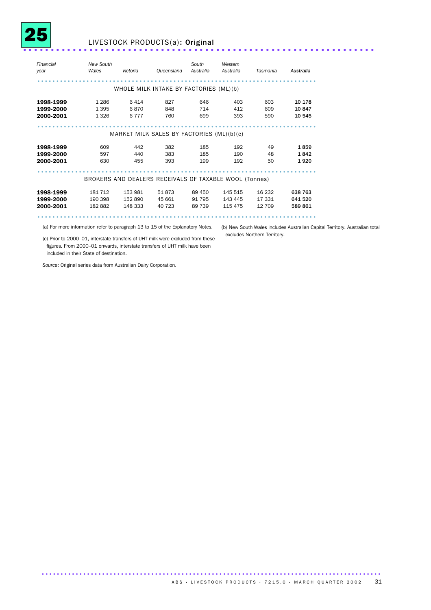

#### <sup>25</sup> LIVESTOCK PRODUCTS(a): Original ................................................................

| Financial<br>year | <b>New South</b><br>Wales                              | Victoria                                  | Queensland | South<br>Australia | Western<br>Australia | Tasmania | Australia |
|-------------------|--------------------------------------------------------|-------------------------------------------|------------|--------------------|----------------------|----------|-----------|
|                   |                                                        | WHOLE MILK INTAKE BY FACTORIES (ML)(b)    |            |                    |                      |          |           |
|                   |                                                        |                                           |            |                    |                      |          |           |
| 1998-1999         | 1 2 8 6                                                | 6414                                      | 827        | 646                | 403                  | 603      | 10 178    |
| 1999-2000         | 1 3 9 5                                                | 6870                                      | 848        | 714                | 412                  | 609      | 10847     |
| 2000-2001         | 1 3 2 6                                                | 6 7 7 7                                   | 760        | 699                | 393                  | 590      | 10 545    |
|                   |                                                        |                                           |            |                    |                      |          |           |
|                   |                                                        | MARKET MILK SALES BY FACTORIES (ML)(b)(c) |            |                    |                      |          |           |
|                   |                                                        |                                           |            |                    |                      |          |           |
| 1998-1999         | 609                                                    | 442                                       | 382        | 185                | 192                  | 49       | 1859      |
| 1999-2000         | 597                                                    | 440                                       | 383        | 185                | 190                  | 48       | 1842      |
| 2000-2001         | 630                                                    | 455                                       | 393        | 199                | 192                  | 50       | 1920      |
|                   |                                                        |                                           |            |                    |                      |          |           |
|                   | BROKERS AND DEALERS RECEIVALS OF TAXABLE WOOL (Tonnes) |                                           |            |                    |                      |          |           |
|                   |                                                        |                                           |            |                    |                      |          |           |
| 1998-1999         | 181 712                                                | 153 981                                   | 51873      | 89 450             | 145 515              | 16 232   | 638 763   |
| 1999-2000         | 190 398                                                | 152890                                    | 45 661     | 91 795             | 143 445              | 17 331   | 641 520   |
| 2000-2001         | 182 882                                                | 148 333                                   | 40 723     | 89 739             | 115 475              | 12 709   | 589861    |
|                   |                                                        |                                           |            |                    |                      |          |           |

(a) For more information refer to paragraph 13 to 15 of the Explanatory Notes.

(b) New South Wales includes Australian Capital Territory. Australian total excludes Northern Territory.

(c) Prior to 2000–01, interstate transfers of UHT milk were excluded from these figures. From 2000–01 onwards, interstate transfers of UHT milk have been included in their State of destination.

*Source*: Original series data from Australian Dairy Corporation.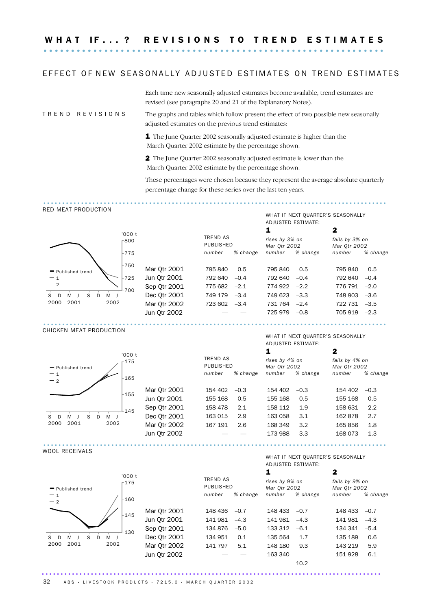#### EFFECT OF NEW SEASONALLY ADJUSTED ESTIMATES ON TREND ESTIMATES

Each time new seasonally adjusted estimates become available, trend estimates are revised (see paragraphs 20 and 21 of the Explanatory Notes).

RED MEAT PRODUCTION

T R E N D R E V I S I O N S The graphs and tables which follow present the effect of two possible new seasonally adjusted estimates on the previous trend estimates:

> 1 The June Quarter 2002 seasonally adjusted estimate is higher than the March Quarter 2002 estimate by the percentage shown.

2 The June Quarter 2002 seasonally adjusted estimate is lower than the March Quarter 2002 estimate by the percentage shown.

These percentages were chosen because they represent the average absolute quarterly percentage change for these series over the last ten years.

...........................................................................................

|                               |        |              |                              |          |                                |                    | WHAT IF NEXT QUARTER'S SEASONALLY |          |
|-------------------------------|--------|--------------|------------------------------|----------|--------------------------------|--------------------|-----------------------------------|----------|
|                               |        |              |                              |          |                                | ADJUSTED ESTIMATE: |                                   |          |
|                               | '000 t |              |                              |          | 1                              |                    | 2                                 |          |
|                               | -800   |              | <b>TREND AS</b><br>PUBLISHED |          | rises by 3% on<br>Mar 0tr 2002 |                    | falls by 3% on<br>Mar 0tr 2002    |          |
|                               | -775   |              | number                       | % change | number                         | % change           | number                            | % change |
| - Published trend             | $-750$ | Mar Otr 2001 | 795 840                      | 0.5      | 795 840                        | 0.5                | 795 840                           | 0.5      |
| $-1$                          | 725    | Jun Otr 2001 | 792 640                      | $-0.4$   | 792 640                        | $-0.4$             | 792 640                           | $-0.4$   |
| $-2$                          | 700    | Sep Otr 2001 | 775 682                      | $-2.1$   | $774922 -2.2$                  |                    | $776791 -2.0$                     |          |
| S.<br>S<br>D.<br>MJ<br>M<br>D |        | Dec Qtr 2001 | 749 179                      | $-3.4$   | 749 623 -3.3                   |                    | 748 903 -3.6                      |          |
| 2001<br>2002<br>2000          |        | Mar 0tr 2002 | $723602 -3.4$                |          | 731 764 -2.4                   |                    | 722 731                           | $-3.5$   |
|                               |        | Jun Qtr 2002 |                              |          | 725 979 - 0.8                  |                    | $705919 -2.3$                     |          |
|                               |        |              |                              |          |                                |                    |                                   |          |

#### CHICKEN MEAT PRODUCTION



Mar Qtr 2001 154 40 Jun Otr 2001 155 16 Sep Qtr 2001 158 4 Dec Qtr 2001 163 01 Mar Otr 2002 167 19 Jun Otr 2002

WHAT IF NEXT OUARTER'S SEASONALLY ADJUSTED ESTIMATE:

|                              | '000t  |              |                              |          |                                |          | 2                              |          |
|------------------------------|--------|--------------|------------------------------|----------|--------------------------------|----------|--------------------------------|----------|
| - Published trend            | $-175$ |              | <b>TREND AS</b><br>PUBLISHED |          | rises by 4% on<br>Mar 0tr 2002 |          | falls by 4% on<br>Mar 0tr 2002 |          |
| $-1$<br>$-2$                 | $+165$ |              | number                       | % change | number                         | % change | number                         | % change |
|                              | $+155$ | Mar 0tr 2001 | 154 402                      | $-0.3$   | 154 402                        | $-0.3$   | 154 402                        | $-0.3$   |
|                              |        | Jun Qtr 2001 | 155 168                      | 0.5      | 155 168                        | 0.5      | 155 168                        | 0.5      |
|                              | 145    | Sep Qtr 2001 | 158 478                      | 2.1      | 158 112                        | 1.9      | 158 631                        | 2.2      |
| S<br>M<br>D.<br>M<br>D<br>S. |        | Dec Otr 2001 | 163 015                      | 2.9      | 163 058                        | 3.1      | 162878                         | 2.7      |
| 2001<br>2002<br>2000         |        | Mar 0tr 2002 | 167 191                      | 2.6      | 168 349                        | 3.2      | 165856                         | 1.8      |
|                              |        | Jun Qtr 2002 |                              |          | 173 988                        | 3.3      | 168 073                        | 1.3      |
|                              |        |              |                              |          |                                |          |                                |          |

WOOL RECEIVALS

WHAT IF NEXT QUARTER'S SEASONALLY ADJUSTED ESTIMATE:

| '000t                       |              |                              |          |                                |          | 2                              |          |
|-----------------------------|--------------|------------------------------|----------|--------------------------------|----------|--------------------------------|----------|
| r175<br>- Published trend   |              | <b>TREND AS</b><br>PUBLISHED |          | rises by 9% on<br>Mar 0tr 2002 |          | falls by 9% on<br>Mar 0tr 2002 |          |
| $-1$<br>$+160$<br>$-2$      |              | number                       | % change | number                         | % change | number                         | % change |
|                             | Mar Otr 2001 | 148 436                      | $-0.7$   | 148 433                        | $-0.7$   | $148433 -0.7$                  |          |
| $+145$                      | Jun Qtr 2001 | 141 981                      | $-4.3$   | 141 981                        | $-4.3$   | $141981 -4.3$                  |          |
| 130                         | Sep Qtr 2001 | 134 876                      | $-5.0$   | 133 312                        | $-6.1$   | $134341 -5.4$                  |          |
| S<br>D<br>M<br>M<br>S.<br>D | Dec Qtr 2001 | 134 951                      | 0.1      | 135 564                        | 1.7      | 135 189                        | 0.6      |
| 2001<br>2002<br>2000        | Mar 0tr 2002 | 141 797                      | 5.1      | 148 180                        | 9.3      | 143 219                        | 5.9      |
|                             | Jun Qtr 2002 |                              |          | 163 340                        |          | 151 928                        | 6.1      |
|                             |              |                              |          |                                | 10.2     |                                |          |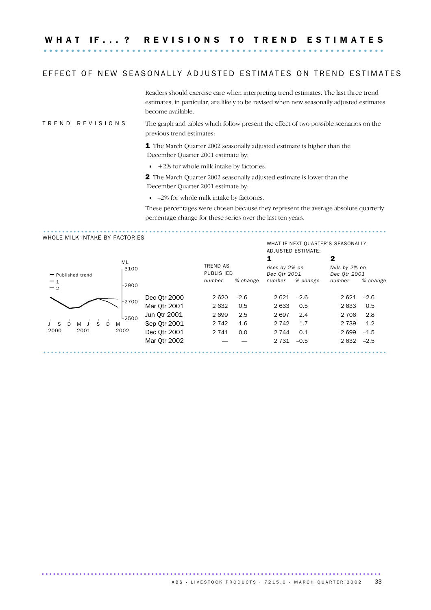W H A T I F . . . ? R E V I S I O N S T O T R E N D E S T I M A T E S .............................................................. ..........

#### EFFECT OF NEW SEASONALLY ADJUSTED ESTIMATES ON TREND ESTIMATES

Readers should exercise care when interpreting trend estimates. The last three trend estimates, in particular, are likely to be revised when new seasonally adjusted estimates become available.

#### T R E N D R E V I S I O N S The graph and tables which follow present the effect of two possible scenarios on the previous trend estimates:

1 The March Quarter 2002 seasonally adjusted estimate is higher than the December Quarter 2001 estimate by:

 $+2\%$  for whole milk intake by factories.

2 The March Quarter 2002 seasonally adjusted estimate is lower than the December Quarter 2001 estimate by:

■  $-2\%$  for whole milk intake by factories.

These percentages were chosen because they represent the average absolute quarterly percentage change for these series over the last ten years.

...........................................................................................

#### WHOLE MILK INTAKE BY FACTORIES

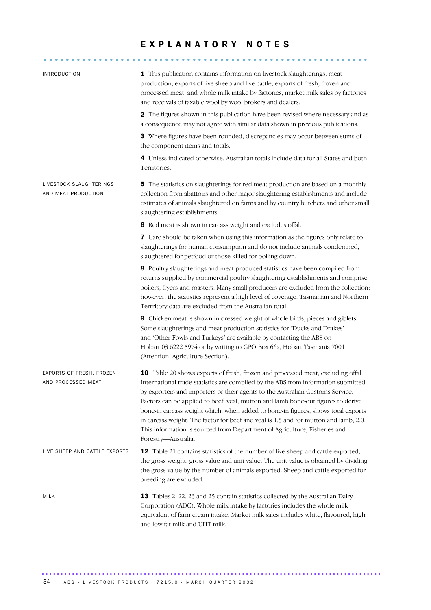#### EXPLANATORY NOTES

| <b>INTRODUCTION</b>                            | 1 This publication contains information on livestock slaughterings, meat<br>production, exports of live sheep and live cattle, exports of fresh, frozen and<br>processed meat, and whole milk intake by factories, market milk sales by factories<br>and receivals of taxable wool by wool brokers and dealers.                                                                                                                                                                                                                                                                                                           |
|------------------------------------------------|---------------------------------------------------------------------------------------------------------------------------------------------------------------------------------------------------------------------------------------------------------------------------------------------------------------------------------------------------------------------------------------------------------------------------------------------------------------------------------------------------------------------------------------------------------------------------------------------------------------------------|
|                                                | 2 The figures shown in this publication have been revised where necessary and as<br>a consequence may not agree with similar data shown in previous publications.                                                                                                                                                                                                                                                                                                                                                                                                                                                         |
|                                                | 3 Where figures have been rounded, discrepancies may occur between sums of<br>the component items and totals.                                                                                                                                                                                                                                                                                                                                                                                                                                                                                                             |
|                                                | 4 Unless indicated otherwise, Australian totals include data for all States and both<br>Territories.                                                                                                                                                                                                                                                                                                                                                                                                                                                                                                                      |
| LIVESTOCK SLAUGHTERINGS<br>AND MEAT PRODUCTION | 5 The statistics on slaughterings for red meat production are based on a monthly<br>collection from abattoirs and other major slaughtering establishments and include<br>estimates of animals slaughtered on farms and by country butchers and other small<br>slaughtering establishments.                                                                                                                                                                                                                                                                                                                                |
|                                                | 6 Red meat is shown in carcass weight and excludes offal.                                                                                                                                                                                                                                                                                                                                                                                                                                                                                                                                                                 |
|                                                | 7 Care should be taken when using this information as the figures only relate to<br>slaughterings for human consumption and do not include animals condemned,<br>slaughtered for petfood or those killed for boiling down.                                                                                                                                                                                                                                                                                                                                                                                                |
|                                                | 8 Poultry slaughterings and meat produced statistics have been compiled from<br>returns supplied by commercial poultry slaughtering establishments and comprise<br>boilers, fryers and roasters. Many small producers are excluded from the collection;<br>however, the statistics represent a high level of coverage. Tasmanian and Northern<br>Terrritory data are excluded from the Australian total.                                                                                                                                                                                                                  |
|                                                | 9 Chicken meat is shown in dressed weight of whole birds, pieces and giblets.<br>Some slaughterings and meat production statistics for 'Ducks and Drakes'<br>and 'Other Fowls and Turkeys' are available by contacting the ABS on<br>Hobart 03 6222 5974 or by writing to GPO Box 66a, Hobart Tasmania 7001<br>(Attention: Agriculture Section).                                                                                                                                                                                                                                                                          |
| EXPORTS OF FRESH, FROZEN<br>AND PROCESSED MEAT | 10 Table 20 shows exports of fresh, frozen and processed meat, excluding offal.<br>International trade statistics are compiled by the ABS from information submitted<br>by exporters and importers or their agents to the Australian Customs Service.<br>Factors can be applied to beef, veal, mutton and lamb bone-out figures to derive<br>bone-in carcass weight which, when added to bone-in figures, shows total exports<br>in carcass weight. The factor for beef and veal is 1.5 and for mutton and lamb, 2.0.<br>This information is sourced from Department of Agriculture, Fisheries and<br>Forestry-Australia. |
| LIVE SHEEP AND CATTLE EXPORTS                  | <b>12</b> Table 21 contains statistics of the number of live sheep and cattle exported,<br>the gross weight, gross value and unit value. The unit value is obtained by dividing<br>the gross value by the number of animals exported. Sheep and cattle exported for<br>breeding are excluded.                                                                                                                                                                                                                                                                                                                             |
| <b>MILK</b>                                    | 13 Tables 2, 22, 23 and 25 contain statistics collected by the Australian Dairy<br>Corporation (ADC). Whole milk intake by factories includes the whole milk<br>equivalent of farm cream intake. Market milk sales includes white, flavoured, high<br>and low fat milk and UHT milk.                                                                                                                                                                                                                                                                                                                                      |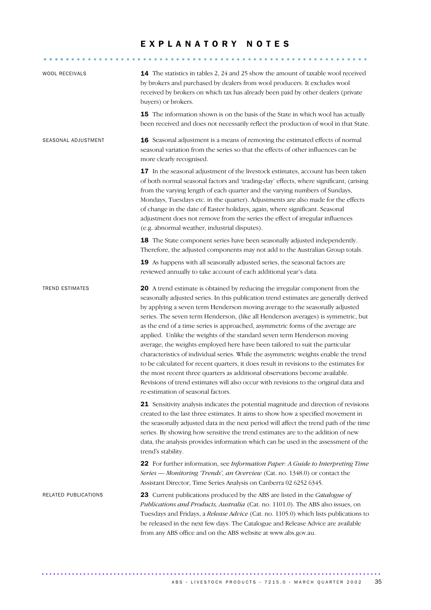#### EXPLANATORY NOTES

........................................................... .....

| <b>WOOL RECEIVALS</b>  | 14 The statistics in tables 2, 24 and 25 show the amount of taxable wool received<br>by brokers and purchased by dealers from wool producers. It excludes wool<br>received by brokers on which tax has already been paid by other dealers (private<br>buyers) or brokers.<br>15 The information shown is on the basis of the State in which wool has actually<br>been received and does not necessarily reflect the production of wool in that State.                                                                                                                                                                                                                                                                                                                                                                                                                                                                                                                                 |
|------------------------|---------------------------------------------------------------------------------------------------------------------------------------------------------------------------------------------------------------------------------------------------------------------------------------------------------------------------------------------------------------------------------------------------------------------------------------------------------------------------------------------------------------------------------------------------------------------------------------------------------------------------------------------------------------------------------------------------------------------------------------------------------------------------------------------------------------------------------------------------------------------------------------------------------------------------------------------------------------------------------------|
| SEASONAL ADJUSTMENT    | 16 Seasonal adjustment is a means of removing the estimated effects of normal<br>seasonal variation from the series so that the effects of other influences can be<br>more clearly recognised.                                                                                                                                                                                                                                                                                                                                                                                                                                                                                                                                                                                                                                                                                                                                                                                        |
|                        | 17 In the seasonal adjustment of the livestock estimates, account has been taken<br>of both normal seasonal factors and 'trading-day' effects, where significant, (arising<br>from the varying length of each quarter and the varying numbers of Sundays,<br>Mondays, Tuesdays etc. in the quarter). Adjustments are also made for the effects<br>of change in the date of Easter holidays, again, where significant. Seasonal<br>adjustment does not remove from the series the effect of irregular influences<br>(e.g. abnormal weather, industrial disputes).                                                                                                                                                                                                                                                                                                                                                                                                                      |
|                        | 18 The State component series have been seasonally adjusted independently.<br>Therefore, the adjusted components may not add to the Australian Group totals.                                                                                                                                                                                                                                                                                                                                                                                                                                                                                                                                                                                                                                                                                                                                                                                                                          |
|                        | 19 As happens with all seasonally adjusted series, the seasonal factors are<br>reviewed annually to take account of each additional year's data.                                                                                                                                                                                                                                                                                                                                                                                                                                                                                                                                                                                                                                                                                                                                                                                                                                      |
| <b>TREND ESTIMATES</b> | 20 A trend estimate is obtained by reducing the irregular component from the<br>seasonally adjusted series. In this publication trend estimates are generally derived<br>by applying a seven term Henderson moving average to the seasonally adjusted<br>series. The seven term Henderson, (like all Henderson averages) is symmetric, but<br>as the end of a time series is approached, asymmetric forms of the average are<br>applied. Unlike the weights of the standard seven term Henderson moving<br>average, the weights employed here have been tailored to suit the particular<br>characteristics of individual series. While the asymmetric weights enable the trend<br>to be calculated for recent quarters, it does result in revisions to the estimates for<br>the most recent three quarters as additional observations become available.<br>Revisions of trend estimates will also occur with revisions to the original data and<br>re-estimation of seasonal factors. |
|                        | 21 Sensitivity analysis indicates the potential magnitude and direction of revisions<br>created to the last three estimates. It aims to show how a specified movement in<br>the seasonally adjusted data in the next period will affect the trend path of the time<br>series. By showing how sensitive the trend estimates are to the addition of new<br>data, the analysis provides information which can be used in the assessment of the<br>trend's stability.                                                                                                                                                                                                                                                                                                                                                                                                                                                                                                                     |
|                        | 22 For further information, see Information Paper: A Guide to Interpreting Time<br>Series - Monitoring 'Trends', an Overview (Cat. no. 1348.0) or contact the<br>Assistant Director, Time Series Analysis on Canberra 02 6252 6345.                                                                                                                                                                                                                                                                                                                                                                                                                                                                                                                                                                                                                                                                                                                                                   |
| RELATED PUBLICATIONS   | <b>23</b> Current publications produced by the ABS are listed in the <i>Catalogue of</i><br>Publications and Products, Australia (Cat. no. 1101.0). The ABS also issues, on<br>Tuesdays and Fridays, a Release Advice (Cat. no. 1105.0) which lists publications to<br>be released in the next few days. The Catalogue and Release Advice are available<br>from any ABS office and on the ABS website at www.abs.gov.au.                                                                                                                                                                                                                                                                                                                                                                                                                                                                                                                                                              |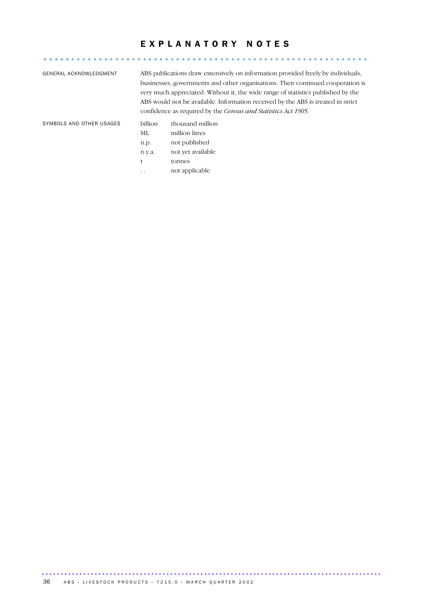#### EXPLANATORY NOTES

........................................................... .....

| GENERAL ACKNOWLEDGMENT   |           | ABS publications draw extensively on information provided freely by individuals,<br>businesses, governments and other organisations. Their continued cooperation is<br>very much appreciated. Without it, the wide range of statistics published by the<br>ABS would not be available. Information received by the ABS is treated in strict<br>confidence as required by the <i>Census and Statistics Act 1905</i> . |
|--------------------------|-----------|----------------------------------------------------------------------------------------------------------------------------------------------------------------------------------------------------------------------------------------------------------------------------------------------------------------------------------------------------------------------------------------------------------------------|
| SYMBOLS AND OTHER USAGES | billion   | thousand million                                                                                                                                                                                                                                                                                                                                                                                                     |
|                          | МL        | million litres                                                                                                                                                                                                                                                                                                                                                                                                       |
|                          | n.p.      | not published                                                                                                                                                                                                                                                                                                                                                                                                        |
|                          | n.y.a.    | not yet available                                                                                                                                                                                                                                                                                                                                                                                                    |
|                          |           | tonnes                                                                                                                                                                                                                                                                                                                                                                                                               |
|                          | $\ddotsc$ | not applicable                                                                                                                                                                                                                                                                                                                                                                                                       |